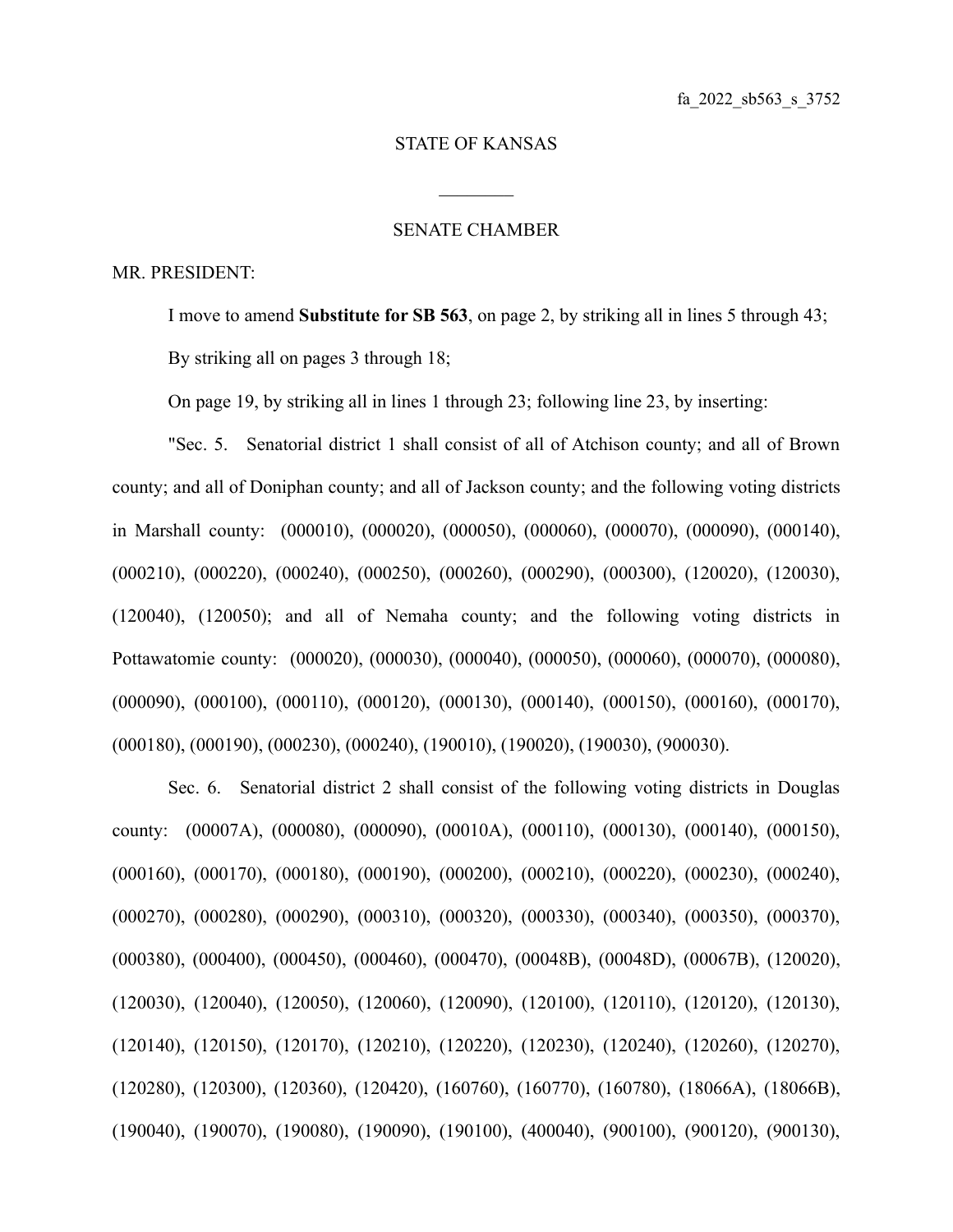## STATE OF KANSAS

 $\mathcal{L}_\text{max}$ 

## SENATE CHAMBER

## MR. PRESIDENT:

I move to amend **Substitute for SB 563**, on page 2, by striking all in lines 5 through 43; By striking all on pages 3 through 18;

On page 19, by striking all in lines 1 through 23; following line 23, by inserting:

"Sec. 5. Senatorial district 1 shall consist of all of Atchison county; and all of Brown county; and all of Doniphan county; and all of Jackson county; and the following voting districts in Marshall county: (000010), (000020), (000050), (000060), (000070), (000090), (000140), (000210), (000220), (000240), (000250), (000260), (000290), (000300), (120020), (120030), (120040), (120050); and all of Nemaha county; and the following voting districts in Pottawatomie county: (000020), (000030), (000040), (000050), (000060), (000070), (000080), (000090), (000100), (000110), (000120), (000130), (000140), (000150), (000160), (000170), (000180), (000190), (000230), (000240), (190010), (190020), (190030), (900030).

Sec. 6. Senatorial district 2 shall consist of the following voting districts in Douglas county: (00007A), (000080), (000090), (00010A), (000110), (000130), (000140), (000150), (000160), (000170), (000180), (000190), (000200), (000210), (000220), (000230), (000240), (000270), (000280), (000290), (000310), (000320), (000330), (000340), (000350), (000370), (000380), (000400), (000450), (000460), (000470), (00048B), (00048D), (00067B), (120020), (120030), (120040), (120050), (120060), (120090), (120100), (120110), (120120), (120130), (120140), (120150), (120170), (120210), (120220), (120230), (120240), (120260), (120270), (120280), (120300), (120360), (120420), (160760), (160770), (160780), (18066A), (18066B), (190040), (190070), (190080), (190090), (190100), (400040), (900100), (900120), (900130),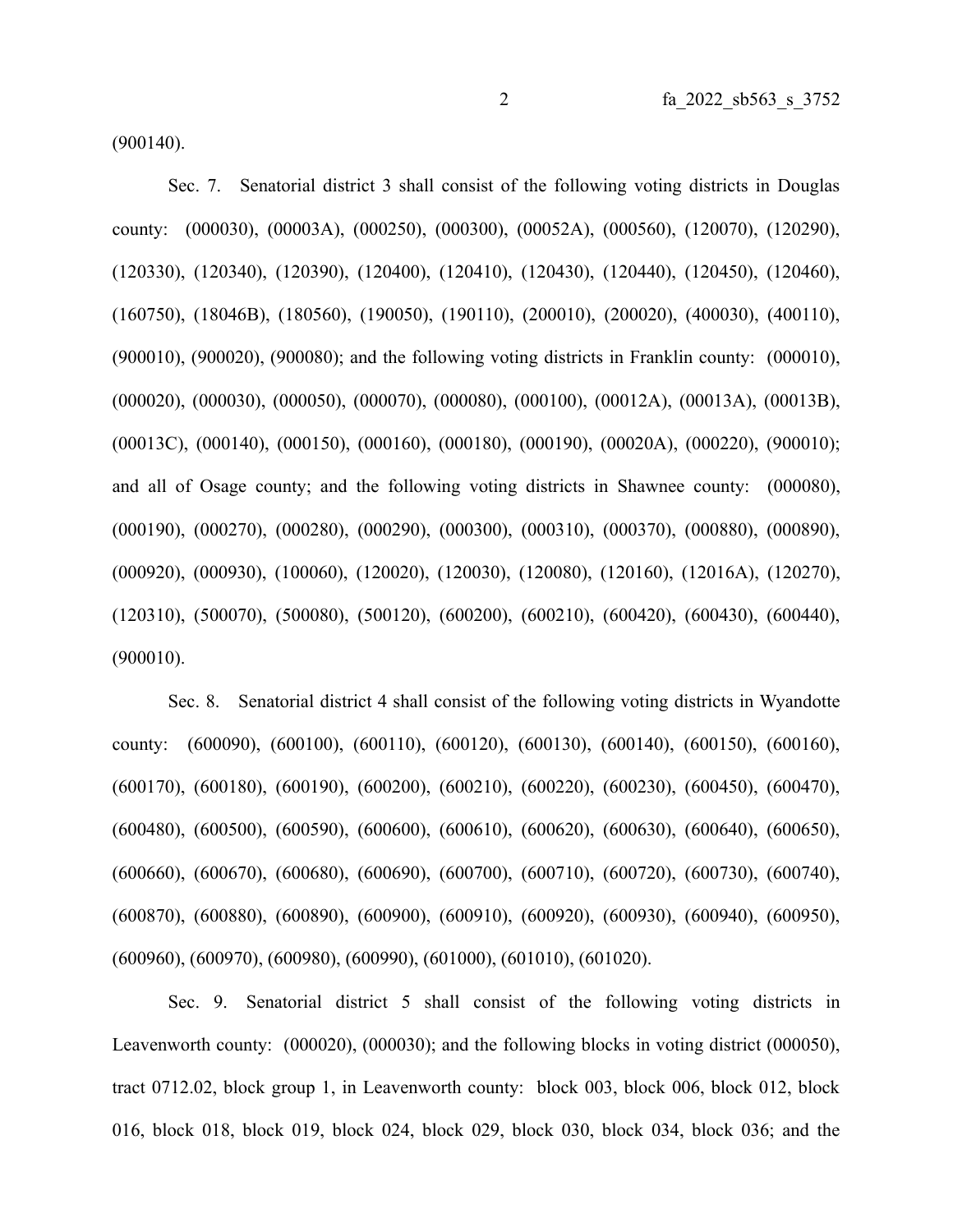(900140).

Sec. 7. Senatorial district 3 shall consist of the following voting districts in Douglas county: (000030), (00003A), (000250), (000300), (00052A), (000560), (120070), (120290), (120330), (120340), (120390), (120400), (120410), (120430), (120440), (120450), (120460), (160750), (18046B), (180560), (190050), (190110), (200010), (200020), (400030), (400110), (900010), (900020), (900080); and the following voting districts in Franklin county: (000010), (000020), (000030), (000050), (000070), (000080), (000100), (00012A), (00013A), (00013B), (00013C), (000140), (000150), (000160), (000180), (000190), (00020A), (000220), (900010); and all of Osage county; and the following voting districts in Shawnee county: (000080), (000190), (000270), (000280), (000290), (000300), (000310), (000370), (000880), (000890), (000920), (000930), (100060), (120020), (120030), (120080), (120160), (12016A), (120270), (120310), (500070), (500080), (500120), (600200), (600210), (600420), (600430), (600440), (900010).

Sec. 8. Senatorial district 4 shall consist of the following voting districts in Wyandotte county: (600090), (600100), (600110), (600120), (600130), (600140), (600150), (600160), (600170), (600180), (600190), (600200), (600210), (600220), (600230), (600450), (600470), (600480), (600500), (600590), (600600), (600610), (600620), (600630), (600640), (600650), (600660), (600670), (600680), (600690), (600700), (600710), (600720), (600730), (600740), (600870), (600880), (600890), (600900), (600910), (600920), (600930), (600940), (600950), (600960), (600970), (600980), (600990), (601000), (601010), (601020).

Sec. 9. Senatorial district 5 shall consist of the following voting districts in Leavenworth county: (000020), (000030); and the following blocks in voting district (000050), tract 0712.02, block group 1, in Leavenworth county: block 003, block 006, block 012, block 016, block 018, block 019, block 024, block 029, block 030, block 034, block 036; and the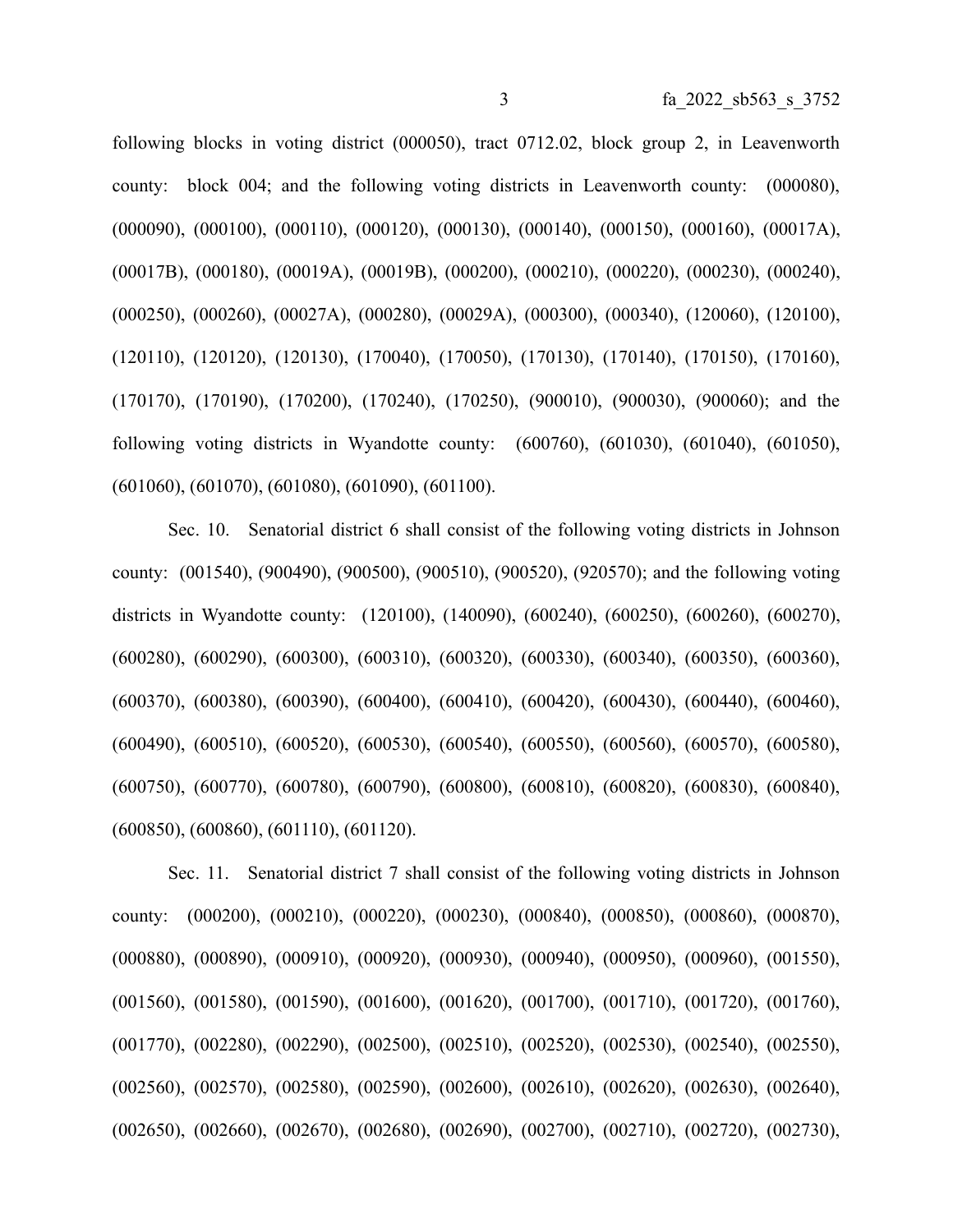following blocks in voting district (000050), tract 0712.02, block group 2, in Leavenworth county: block 004; and the following voting districts in Leavenworth county: (000080), (000090), (000100), (000110), (000120), (000130), (000140), (000150), (000160), (00017A), (00017B), (000180), (00019A), (00019B), (000200), (000210), (000220), (000230), (000240), (000250), (000260), (00027A), (000280), (00029A), (000300), (000340), (120060), (120100), (120110), (120120), (120130), (170040), (170050), (170130), (170140), (170150), (170160), (170170), (170190), (170200), (170240), (170250), (900010), (900030), (900060); and the following voting districts in Wyandotte county: (600760), (601030), (601040), (601050), (601060), (601070), (601080), (601090), (601100).

Sec. 10. Senatorial district 6 shall consist of the following voting districts in Johnson county: (001540), (900490), (900500), (900510), (900520), (920570); and the following voting districts in Wyandotte county: (120100), (140090), (600240), (600250), (600260), (600270), (600280), (600290), (600300), (600310), (600320), (600330), (600340), (600350), (600360), (600370), (600380), (600390), (600400), (600410), (600420), (600430), (600440), (600460), (600490), (600510), (600520), (600530), (600540), (600550), (600560), (600570), (600580), (600750), (600770), (600780), (600790), (600800), (600810), (600820), (600830), (600840), (600850), (600860), (601110), (601120).

Sec. 11. Senatorial district 7 shall consist of the following voting districts in Johnson county: (000200), (000210), (000220), (000230), (000840), (000850), (000860), (000870), (000880), (000890), (000910), (000920), (000930), (000940), (000950), (000960), (001550), (001560), (001580), (001590), (001600), (001620), (001700), (001710), (001720), (001760), (001770), (002280), (002290), (002500), (002510), (002520), (002530), (002540), (002550), (002560), (002570), (002580), (002590), (002600), (002610), (002620), (002630), (002640), (002650), (002660), (002670), (002680), (002690), (002700), (002710), (002720), (002730),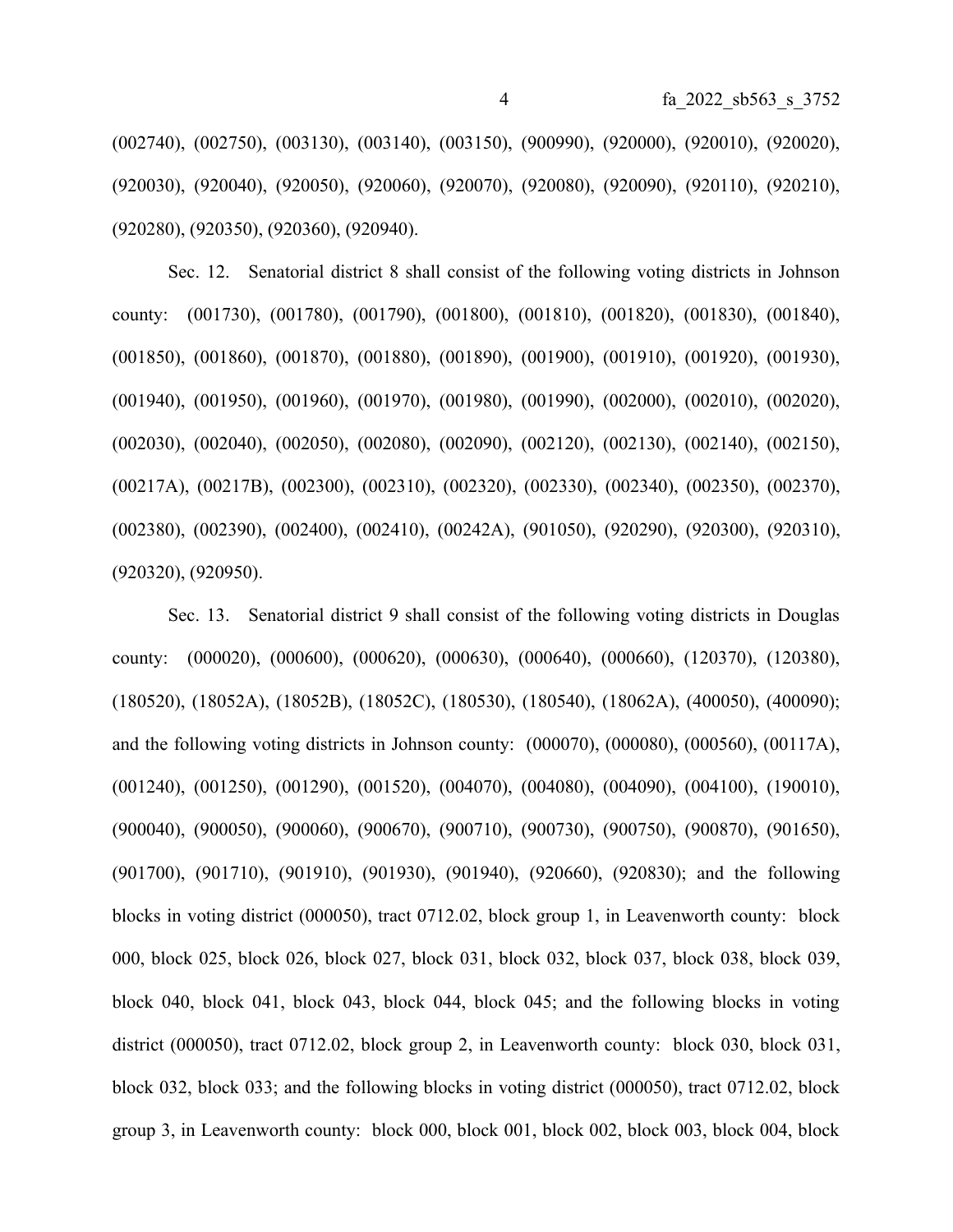(002740), (002750), (003130), (003140), (003150), (900990), (920000), (920010), (920020), (920030), (920040), (920050), (920060), (920070), (920080), (920090), (920110), (920210), (920280), (920350), (920360), (920940).

Sec. 12. Senatorial district 8 shall consist of the following voting districts in Johnson county: (001730), (001780), (001790), (001800), (001810), (001820), (001830), (001840), (001850), (001860), (001870), (001880), (001890), (001900), (001910), (001920), (001930), (001940), (001950), (001960), (001970), (001980), (001990), (002000), (002010), (002020), (002030), (002040), (002050), (002080), (002090), (002120), (002130), (002140), (002150), (00217A), (00217B), (002300), (002310), (002320), (002330), (002340), (002350), (002370), (002380), (002390), (002400), (002410), (00242A), (901050), (920290), (920300), (920310), (920320), (920950).

Sec. 13. Senatorial district 9 shall consist of the following voting districts in Douglas county: (000020), (000600), (000620), (000630), (000640), (000660), (120370), (120380), (180520), (18052A), (18052B), (18052C), (180530), (180540), (18062A), (400050), (400090); and the following voting districts in Johnson county: (000070), (000080), (000560), (00117A), (001240), (001250), (001290), (001520), (004070), (004080), (004090), (004100), (190010), (900040), (900050), (900060), (900670), (900710), (900730), (900750), (900870), (901650), (901700), (901710), (901910), (901930), (901940), (920660), (920830); and the following blocks in voting district (000050), tract 0712.02, block group 1, in Leavenworth county: block 000, block 025, block 026, block 027, block 031, block 032, block 037, block 038, block 039, block 040, block 041, block 043, block 044, block 045; and the following blocks in voting district (000050), tract 0712.02, block group 2, in Leavenworth county: block 030, block 031, block 032, block 033; and the following blocks in voting district (000050), tract 0712.02, block group 3, in Leavenworth county: block 000, block 001, block 002, block 003, block 004, block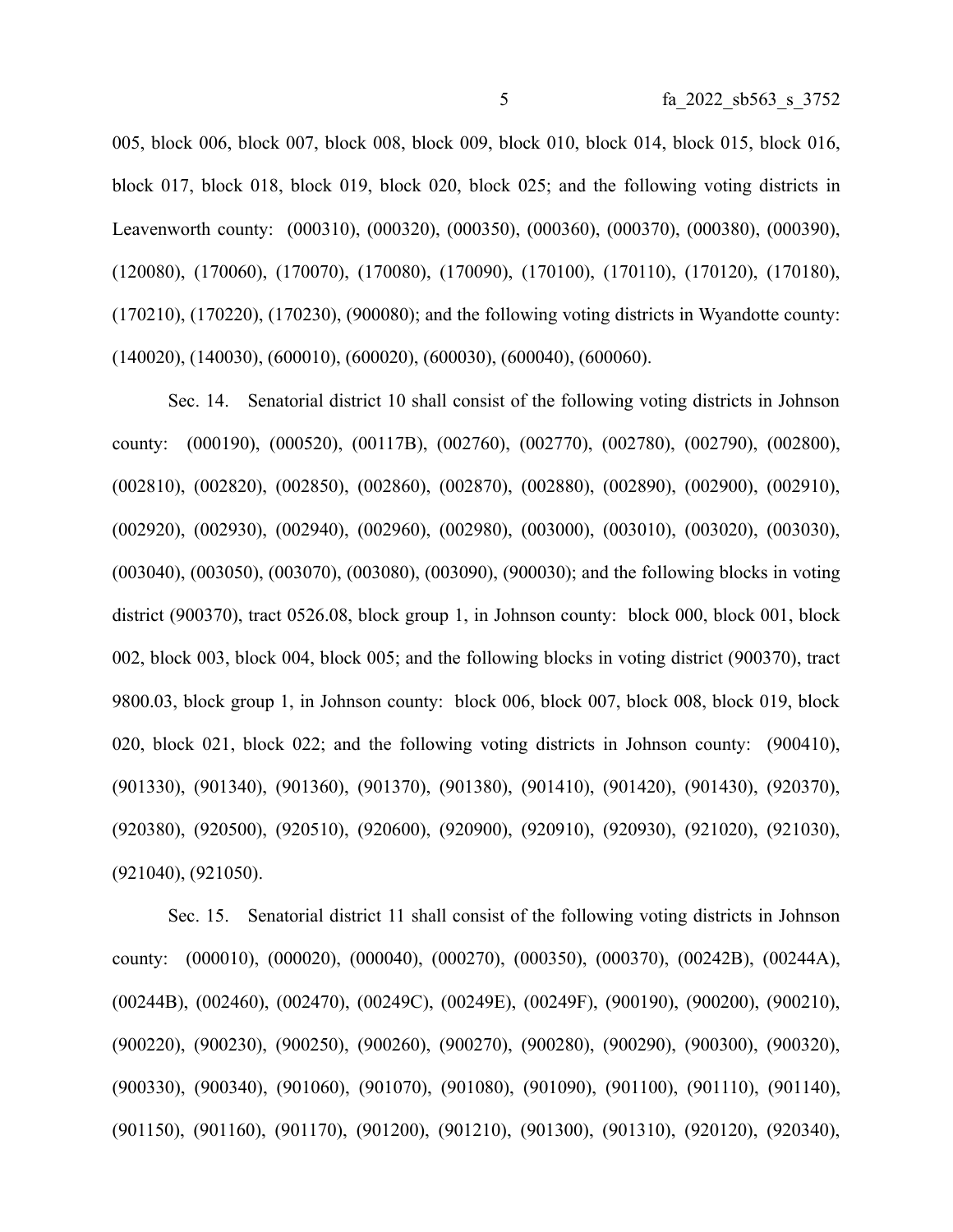005, block 006, block 007, block 008, block 009, block 010, block 014, block 015, block 016, block 017, block 018, block 019, block 020, block 025; and the following voting districts in Leavenworth county: (000310), (000320), (000350), (000360), (000370), (000380), (000390), (120080), (170060), (170070), (170080), (170090), (170100), (170110), (170120), (170180), (170210), (170220), (170230), (900080); and the following voting districts in Wyandotte county: (140020), (140030), (600010), (600020), (600030), (600040), (600060).

Sec. 14. Senatorial district 10 shall consist of the following voting districts in Johnson county: (000190), (000520), (00117B), (002760), (002770), (002780), (002790), (002800), (002810), (002820), (002850), (002860), (002870), (002880), (002890), (002900), (002910), (002920), (002930), (002940), (002960), (002980), (003000), (003010), (003020), (003030), (003040), (003050), (003070), (003080), (003090), (900030); and the following blocks in voting district (900370), tract 0526.08, block group 1, in Johnson county: block 000, block 001, block 002, block 003, block 004, block 005; and the following blocks in voting district (900370), tract 9800.03, block group 1, in Johnson county: block 006, block 007, block 008, block 019, block 020, block 021, block 022; and the following voting districts in Johnson county: (900410), (901330), (901340), (901360), (901370), (901380), (901410), (901420), (901430), (920370), (920380), (920500), (920510), (920600), (920900), (920910), (920930), (921020), (921030), (921040), (921050).

Sec. 15. Senatorial district 11 shall consist of the following voting districts in Johnson county: (000010), (000020), (000040), (000270), (000350), (000370), (00242B), (00244A), (00244B), (002460), (002470), (00249C), (00249E), (00249F), (900190), (900200), (900210), (900220), (900230), (900250), (900260), (900270), (900280), (900290), (900300), (900320), (900330), (900340), (901060), (901070), (901080), (901090), (901100), (901110), (901140), (901150), (901160), (901170), (901200), (901210), (901300), (901310), (920120), (920340),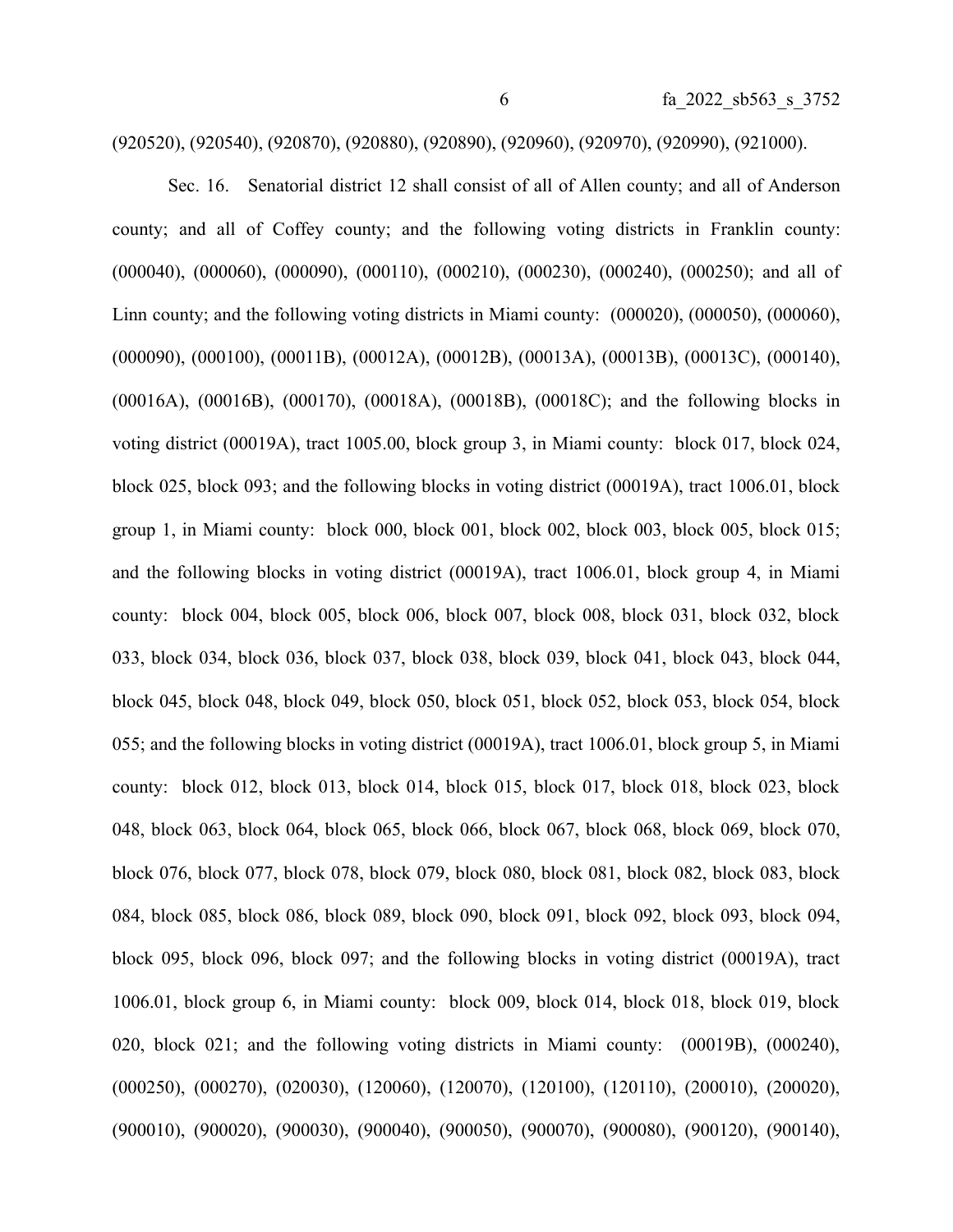(920520), (920540), (920870), (920880), (920890), (920960), (920970), (920990), (921000).

Sec. 16. Senatorial district 12 shall consist of all of Allen county; and all of Anderson county; and all of Coffey county; and the following voting districts in Franklin county: (000040), (000060), (000090), (000110), (000210), (000230), (000240), (000250); and all of Linn county; and the following voting districts in Miami county: (000020), (000050), (000060), (000090), (000100), (00011B), (00012A), (00012B), (00013A), (00013B), (00013C), (000140), (00016A), (00016B), (000170), (00018A), (00018B), (00018C); and the following blocks in voting district (00019A), tract 1005.00, block group 3, in Miami county: block 017, block 024, block 025, block 093; and the following blocks in voting district (00019A), tract 1006.01, block group 1, in Miami county: block 000, block 001, block 002, block 003, block 005, block 015; and the following blocks in voting district (00019A), tract 1006.01, block group 4, in Miami county: block 004, block 005, block 006, block 007, block 008, block 031, block 032, block 033, block 034, block 036, block 037, block 038, block 039, block 041, block 043, block 044, block 045, block 048, block 049, block 050, block 051, block 052, block 053, block 054, block 055; and the following blocks in voting district (00019A), tract 1006.01, block group 5, in Miami county: block 012, block 013, block 014, block 015, block 017, block 018, block 023, block 048, block 063, block 064, block 065, block 066, block 067, block 068, block 069, block 070, block 076, block 077, block 078, block 079, block 080, block 081, block 082, block 083, block 084, block 085, block 086, block 089, block 090, block 091, block 092, block 093, block 094, block 095, block 096, block 097; and the following blocks in voting district (00019A), tract 1006.01, block group 6, in Miami county: block 009, block 014, block 018, block 019, block 020, block 021; and the following voting districts in Miami county: (00019B), (000240), (000250), (000270), (020030), (120060), (120070), (120100), (120110), (200010), (200020), (900010), (900020), (900030), (900040), (900050), (900070), (900080), (900120), (900140),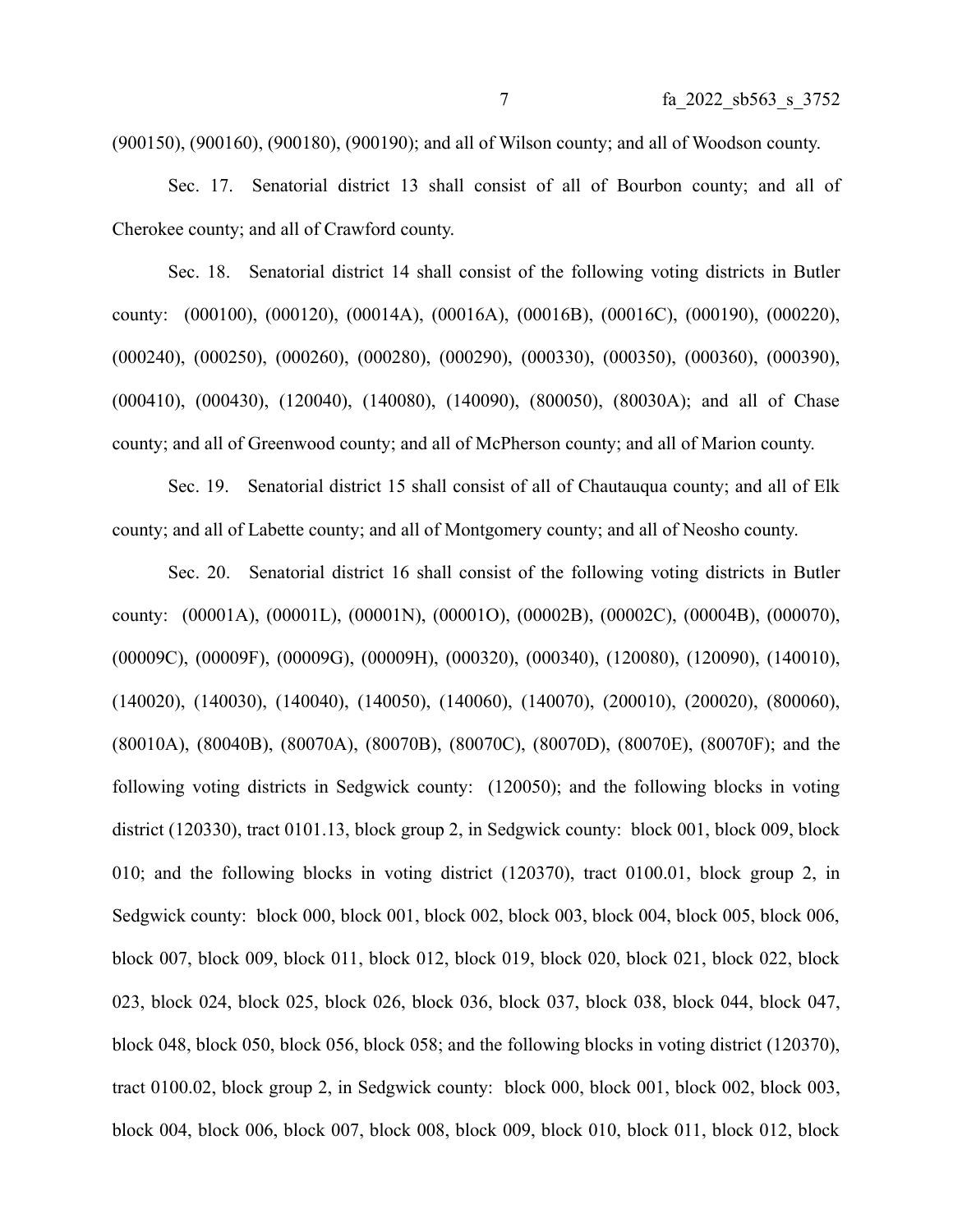(900150), (900160), (900180), (900190); and all of Wilson county; and all of Woodson county.

Sec. 17. Senatorial district 13 shall consist of all of Bourbon county; and all of Cherokee county; and all of Crawford county.

Sec. 18. Senatorial district 14 shall consist of the following voting districts in Butler county: (000100), (000120), (00014A), (00016A), (00016B), (00016C), (000190), (000220), (000240), (000250), (000260), (000280), (000290), (000330), (000350), (000360), (000390), (000410), (000430), (120040), (140080), (140090), (800050), (80030A); and all of Chase county; and all of Greenwood county; and all of McPherson county; and all of Marion county.

Sec. 19. Senatorial district 15 shall consist of all of Chautauqua county; and all of Elk county; and all of Labette county; and all of Montgomery county; and all of Neosho county.

Sec. 20. Senatorial district 16 shall consist of the following voting districts in Butler county: (00001A), (00001L), (00001N), (00001O), (00002B), (00002C), (00004B), (000070), (00009C), (00009F), (00009G), (00009H), (000320), (000340), (120080), (120090), (140010), (140020), (140030), (140040), (140050), (140060), (140070), (200010), (200020), (800060), (80010A), (80040B), (80070A), (80070B), (80070C), (80070D), (80070E), (80070F); and the following voting districts in Sedgwick county: (120050); and the following blocks in voting district (120330), tract 0101.13, block group 2, in Sedgwick county: block 001, block 009, block 010; and the following blocks in voting district (120370), tract 0100.01, block group 2, in Sedgwick county: block 000, block 001, block 002, block 003, block 004, block 005, block 006, block 007, block 009, block 011, block 012, block 019, block 020, block 021, block 022, block 023, block 024, block 025, block 026, block 036, block 037, block 038, block 044, block 047, block 048, block 050, block 056, block 058; and the following blocks in voting district (120370), tract 0100.02, block group 2, in Sedgwick county: block 000, block 001, block 002, block 003, block 004, block 006, block 007, block 008, block 009, block 010, block 011, block 012, block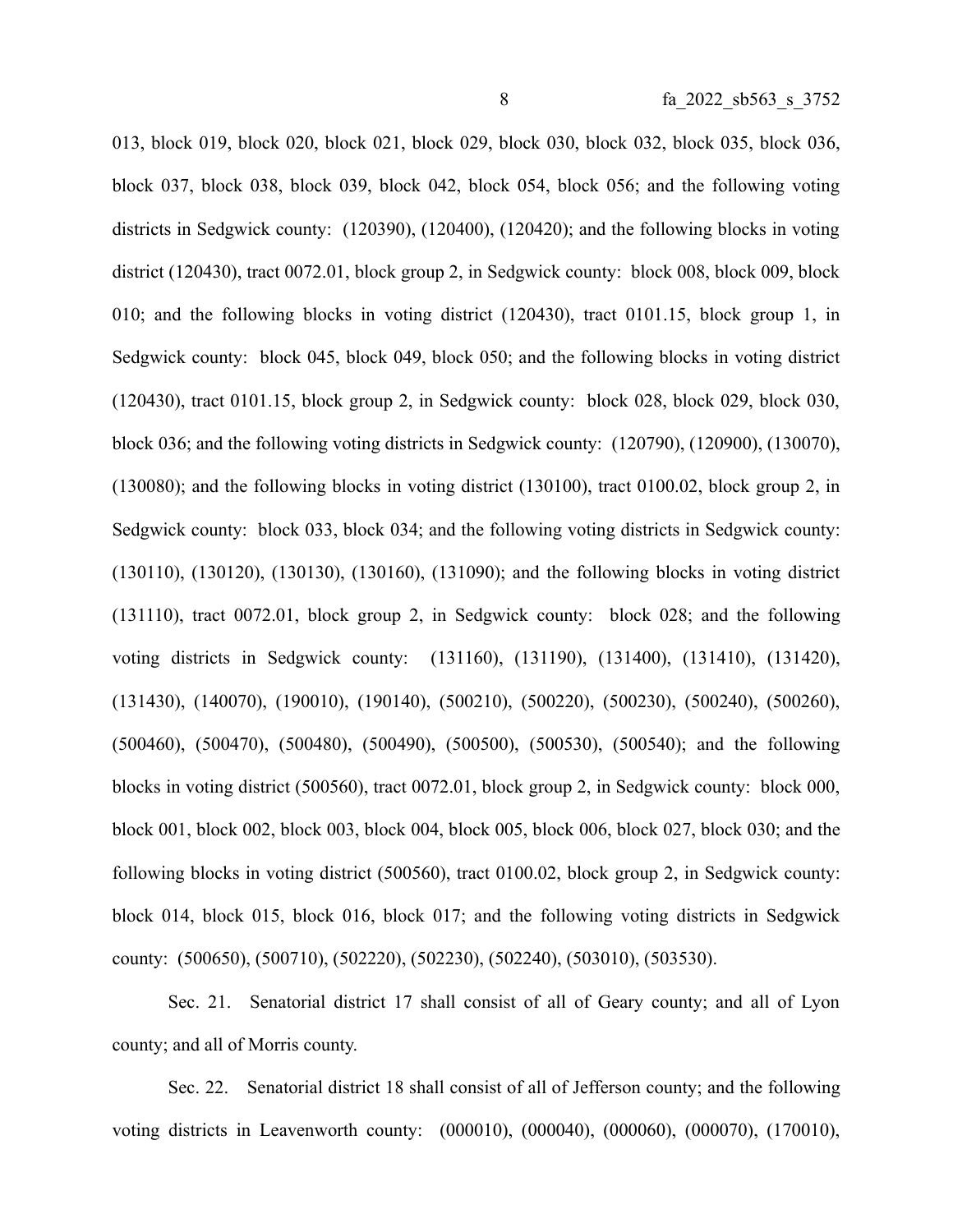013, block 019, block 020, block 021, block 029, block 030, block 032, block 035, block 036, block 037, block 038, block 039, block 042, block 054, block 056; and the following voting districts in Sedgwick county: (120390), (120400), (120420); and the following blocks in voting district (120430), tract 0072.01, block group 2, in Sedgwick county: block 008, block 009, block 010; and the following blocks in voting district (120430), tract 0101.15, block group 1, in Sedgwick county: block 045, block 049, block 050; and the following blocks in voting district (120430), tract 0101.15, block group 2, in Sedgwick county: block 028, block 029, block 030, block 036; and the following voting districts in Sedgwick county: (120790), (120900), (130070), (130080); and the following blocks in voting district (130100), tract 0100.02, block group 2, in Sedgwick county: block 033, block 034; and the following voting districts in Sedgwick county: (130110), (130120), (130130), (130160), (131090); and the following blocks in voting district (131110), tract 0072.01, block group 2, in Sedgwick county: block 028; and the following voting districts in Sedgwick county: (131160), (131190), (131400), (131410), (131420), (131430), (140070), (190010), (190140), (500210), (500220), (500230), (500240), (500260), (500460), (500470), (500480), (500490), (500500), (500530), (500540); and the following blocks in voting district (500560), tract 0072.01, block group 2, in Sedgwick county: block 000, block 001, block 002, block 003, block 004, block 005, block 006, block 027, block 030; and the following blocks in voting district (500560), tract 0100.02, block group 2, in Sedgwick county: block 014, block 015, block 016, block 017; and the following voting districts in Sedgwick county: (500650), (500710), (502220), (502230), (502240), (503010), (503530).

Sec. 21. Senatorial district 17 shall consist of all of Geary county; and all of Lyon county; and all of Morris county.

Sec. 22. Senatorial district 18 shall consist of all of Jefferson county; and the following voting districts in Leavenworth county: (000010), (000040), (000060), (000070), (170010),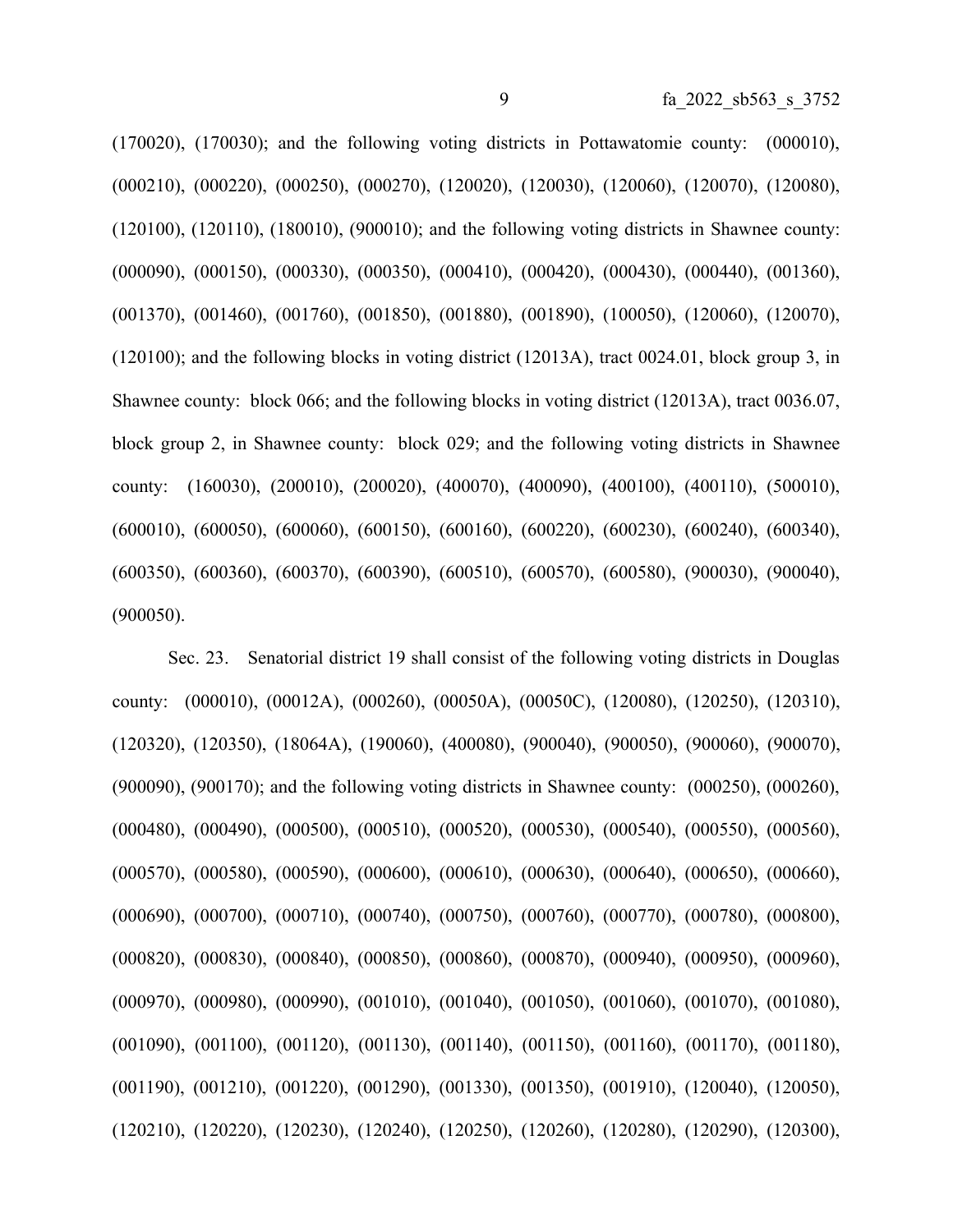(170020), (170030); and the following voting districts in Pottawatomie county: (000010), (000210), (000220), (000250), (000270), (120020), (120030), (120060), (120070), (120080), (120100), (120110), (180010), (900010); and the following voting districts in Shawnee county: (000090), (000150), (000330), (000350), (000410), (000420), (000430), (000440), (001360), (001370), (001460), (001760), (001850), (001880), (001890), (100050), (120060), (120070), (120100); and the following blocks in voting district (12013A), tract 0024.01, block group 3, in Shawnee county: block 066; and the following blocks in voting district (12013A), tract 0036.07, block group 2, in Shawnee county: block 029; and the following voting districts in Shawnee county: (160030), (200010), (200020), (400070), (400090), (400100), (400110), (500010), (600010), (600050), (600060), (600150), (600160), (600220), (600230), (600240), (600340), (600350), (600360), (600370), (600390), (600510), (600570), (600580), (900030), (900040), (900050).

Sec. 23. Senatorial district 19 shall consist of the following voting districts in Douglas county: (000010), (00012A), (000260), (00050A), (00050C), (120080), (120250), (120310), (120320), (120350), (18064A), (190060), (400080), (900040), (900050), (900060), (900070), (900090), (900170); and the following voting districts in Shawnee county: (000250), (000260), (000480), (000490), (000500), (000510), (000520), (000530), (000540), (000550), (000560), (000570), (000580), (000590), (000600), (000610), (000630), (000640), (000650), (000660), (000690), (000700), (000710), (000740), (000750), (000760), (000770), (000780), (000800), (000820), (000830), (000840), (000850), (000860), (000870), (000940), (000950), (000960), (000970), (000980), (000990), (001010), (001040), (001050), (001060), (001070), (001080), (001090), (001100), (001120), (001130), (001140), (001150), (001160), (001170), (001180), (001190), (001210), (001220), (001290), (001330), (001350), (001910), (120040), (120050), (120210), (120220), (120230), (120240), (120250), (120260), (120280), (120290), (120300),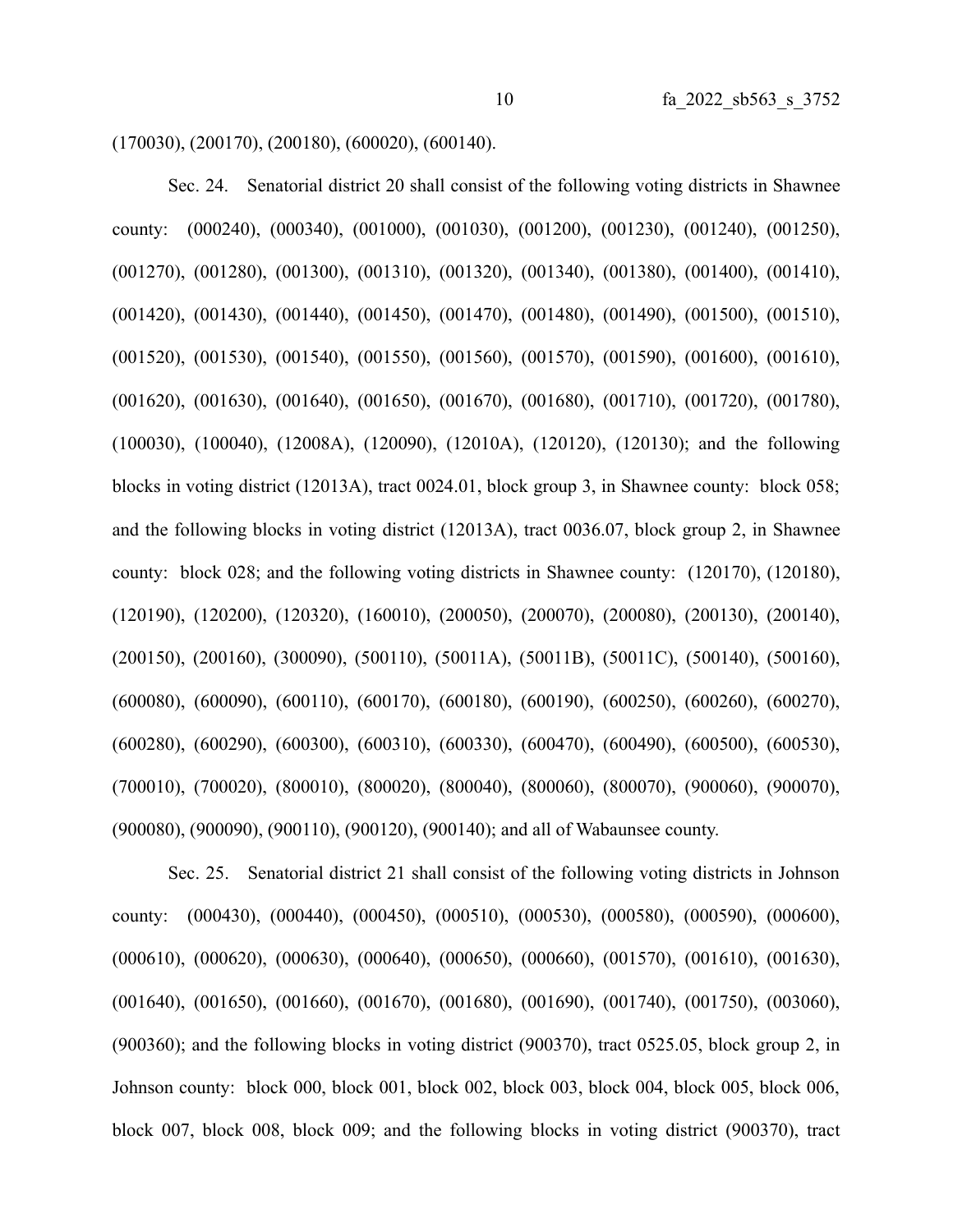(170030), (200170), (200180), (600020), (600140).

Sec. 24. Senatorial district 20 shall consist of the following voting districts in Shawnee county: (000240), (000340), (001000), (001030), (001200), (001230), (001240), (001250), (001270), (001280), (001300), (001310), (001320), (001340), (001380), (001400), (001410), (001420), (001430), (001440), (001450), (001470), (001480), (001490), (001500), (001510), (001520), (001530), (001540), (001550), (001560), (001570), (001590), (001600), (001610), (001620), (001630), (001640), (001650), (001670), (001680), (001710), (001720), (001780), (100030), (100040), (12008A), (120090), (12010A), (120120), (120130); and the following blocks in voting district (12013A), tract 0024.01, block group 3, in Shawnee county: block 058; and the following blocks in voting district (12013A), tract 0036.07, block group 2, in Shawnee county: block 028; and the following voting districts in Shawnee county: (120170), (120180), (120190), (120200), (120320), (160010), (200050), (200070), (200080), (200130), (200140), (200150), (200160), (300090), (500110), (50011A), (50011B), (50011C), (500140), (500160), (600080), (600090), (600110), (600170), (600180), (600190), (600250), (600260), (600270), (600280), (600290), (600300), (600310), (600330), (600470), (600490), (600500), (600530), (700010), (700020), (800010), (800020), (800040), (800060), (800070), (900060), (900070), (900080), (900090), (900110), (900120), (900140); and all of Wabaunsee county.

Sec. 25. Senatorial district 21 shall consist of the following voting districts in Johnson county: (000430), (000440), (000450), (000510), (000530), (000580), (000590), (000600), (000610), (000620), (000630), (000640), (000650), (000660), (001570), (001610), (001630), (001640), (001650), (001660), (001670), (001680), (001690), (001740), (001750), (003060), (900360); and the following blocks in voting district (900370), tract 0525.05, block group 2, in Johnson county: block 000, block 001, block 002, block 003, block 004, block 005, block 006, block 007, block 008, block 009; and the following blocks in voting district (900370), tract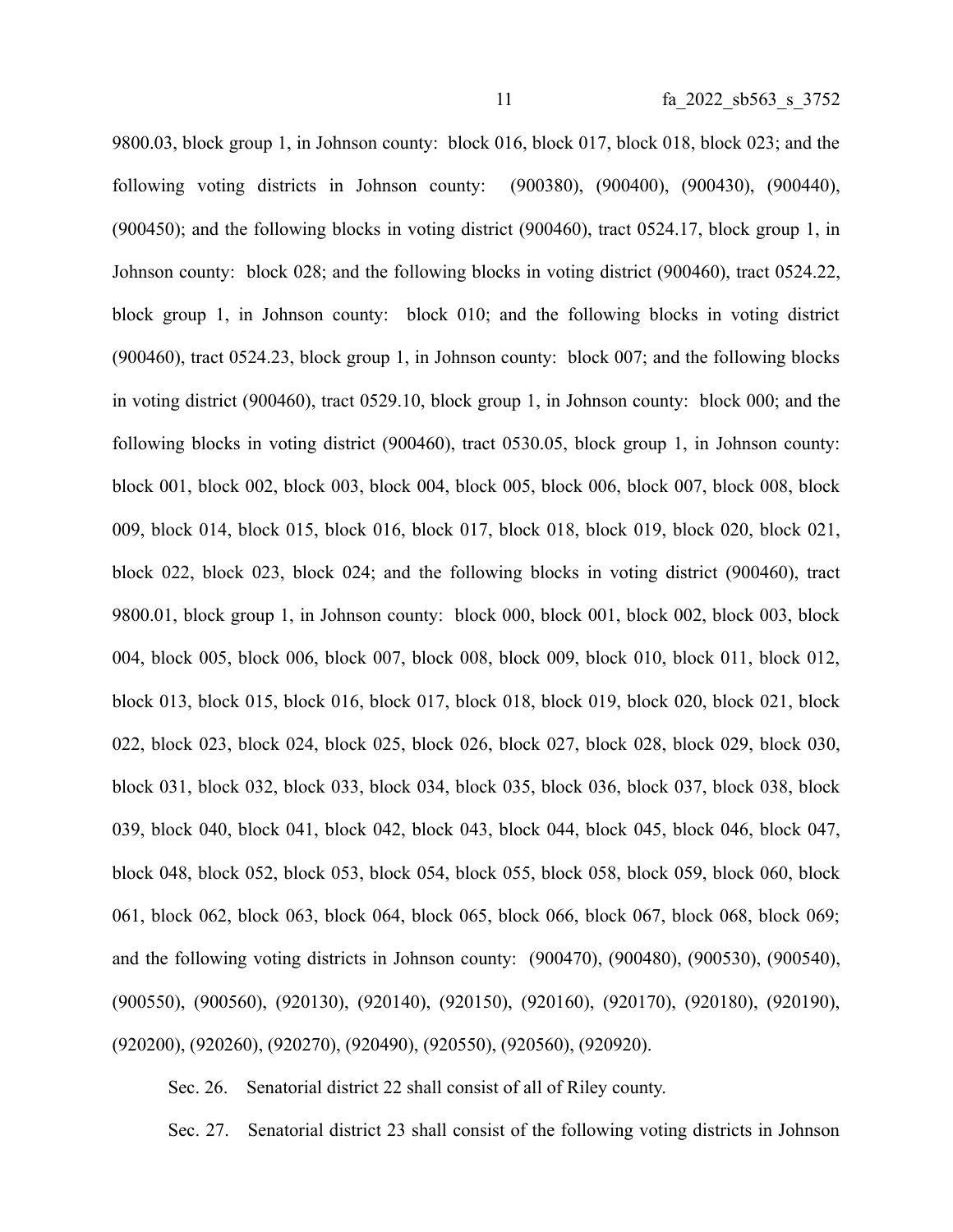9800.03, block group 1, in Johnson county: block 016, block 017, block 018, block 023; and the following voting districts in Johnson county: (900380), (900400), (900430), (900440), (900450); and the following blocks in voting district (900460), tract 0524.17, block group 1, in Johnson county: block 028; and the following blocks in voting district (900460), tract 0524.22, block group 1, in Johnson county: block 010; and the following blocks in voting district (900460), tract 0524.23, block group 1, in Johnson county: block 007; and the following blocks in voting district (900460), tract 0529.10, block group 1, in Johnson county: block 000; and the following blocks in voting district (900460), tract 0530.05, block group 1, in Johnson county: block 001, block 002, block 003, block 004, block 005, block 006, block 007, block 008, block 009, block 014, block 015, block 016, block 017, block 018, block 019, block 020, block 021, block 022, block 023, block 024; and the following blocks in voting district (900460), tract 9800.01, block group 1, in Johnson county: block 000, block 001, block 002, block 003, block 004, block 005, block 006, block 007, block 008, block 009, block 010, block 011, block 012, block 013, block 015, block 016, block 017, block 018, block 019, block 020, block 021, block 022, block 023, block 024, block 025, block 026, block 027, block 028, block 029, block 030, block 031, block 032, block 033, block 034, block 035, block 036, block 037, block 038, block 039, block 040, block 041, block 042, block 043, block 044, block 045, block 046, block 047, block 048, block 052, block 053, block 054, block 055, block 058, block 059, block 060, block 061, block 062, block 063, block 064, block 065, block 066, block 067, block 068, block 069; and the following voting districts in Johnson county: (900470), (900480), (900530), (900540), (900550), (900560), (920130), (920140), (920150), (920160), (920170), (920180), (920190), (920200), (920260), (920270), (920490), (920550), (920560), (920920).

Sec. 26. Senatorial district 22 shall consist of all of Riley county.

Sec. 27. Senatorial district 23 shall consist of the following voting districts in Johnson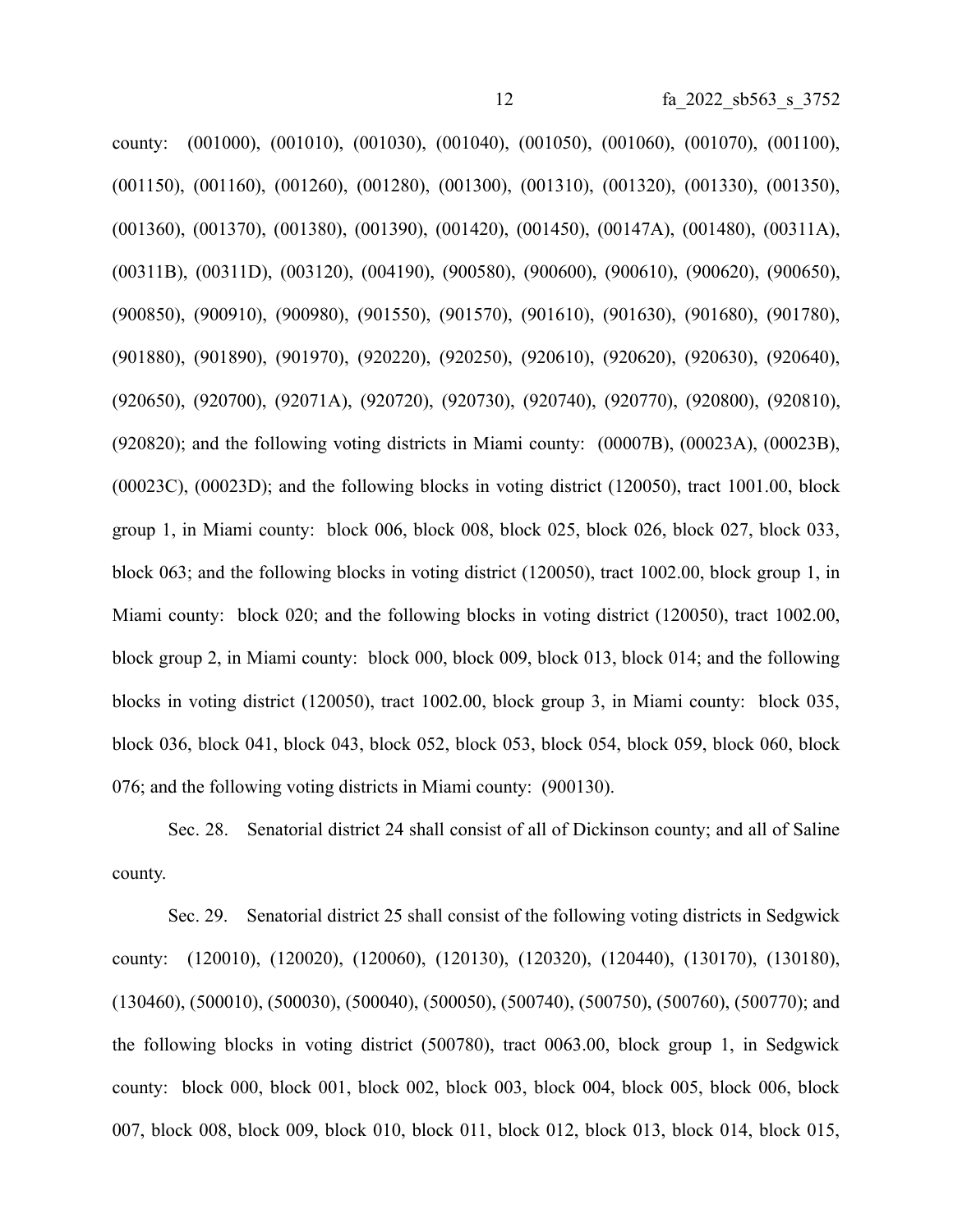county: (001000), (001010), (001030), (001040), (001050), (001060), (001070), (001100), (001150), (001160), (001260), (001280), (001300), (001310), (001320), (001330), (001350), (001360), (001370), (001380), (001390), (001420), (001450), (00147A), (001480), (00311A), (00311B), (00311D), (003120), (004190), (900580), (900600), (900610), (900620), (900650), (900850), (900910), (900980), (901550), (901570), (901610), (901630), (901680), (901780), (901880), (901890), (901970), (920220), (920250), (920610), (920620), (920630), (920640), (920650), (920700), (92071A), (920720), (920730), (920740), (920770), (920800), (920810), (920820); and the following voting districts in Miami county: (00007B), (00023A), (00023B), (00023C), (00023D); and the following blocks in voting district (120050), tract 1001.00, block group 1, in Miami county: block 006, block 008, block 025, block 026, block 027, block 033, block 063; and the following blocks in voting district (120050), tract 1002.00, block group 1, in Miami county: block 020; and the following blocks in voting district (120050), tract 1002.00, block group 2, in Miami county: block 000, block 009, block 013, block 014; and the following blocks in voting district (120050), tract 1002.00, block group 3, in Miami county: block 035, block 036, block 041, block 043, block 052, block 053, block 054, block 059, block 060, block 076; and the following voting districts in Miami county: (900130).

Sec. 28. Senatorial district 24 shall consist of all of Dickinson county; and all of Saline county.

Sec. 29. Senatorial district 25 shall consist of the following voting districts in Sedgwick county: (120010), (120020), (120060), (120130), (120320), (120440), (130170), (130180), (130460), (500010), (500030), (500040), (500050), (500740), (500750), (500760), (500770); and the following blocks in voting district (500780), tract 0063.00, block group 1, in Sedgwick county: block 000, block 001, block 002, block 003, block 004, block 005, block 006, block 007, block 008, block 009, block 010, block 011, block 012, block 013, block 014, block 015,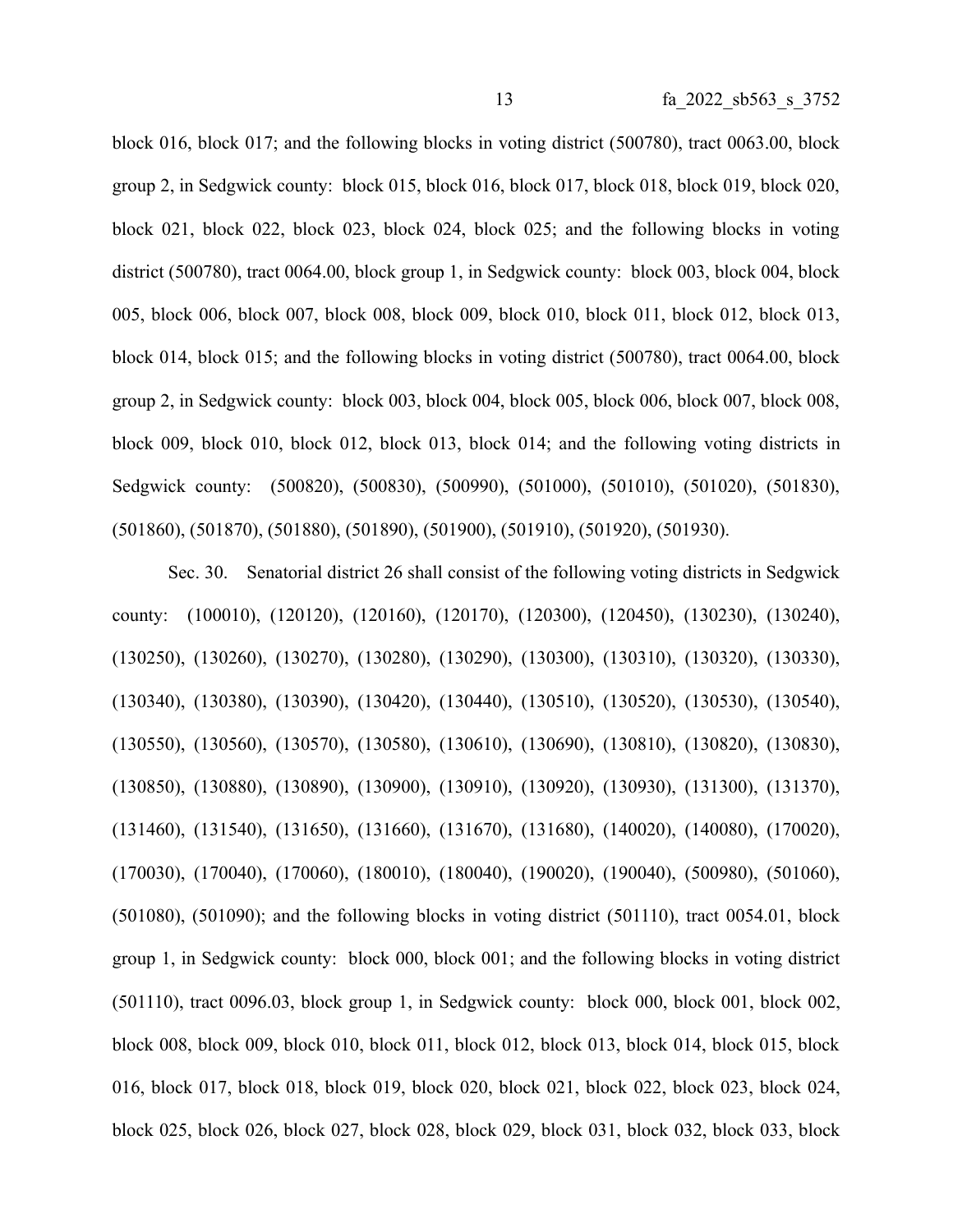block 016, block 017; and the following blocks in voting district (500780), tract 0063.00, block group 2, in Sedgwick county: block 015, block 016, block 017, block 018, block 019, block 020, block 021, block 022, block 023, block 024, block 025; and the following blocks in voting district (500780), tract 0064.00, block group 1, in Sedgwick county: block 003, block 004, block 005, block 006, block 007, block 008, block 009, block 010, block 011, block 012, block 013, block 014, block 015; and the following blocks in voting district (500780), tract 0064.00, block group 2, in Sedgwick county: block 003, block 004, block 005, block 006, block 007, block 008, block 009, block 010, block 012, block 013, block 014; and the following voting districts in Sedgwick county: (500820), (500830), (500990), (501000), (501010), (501020), (501830), (501860), (501870), (501880), (501890), (501900), (501910), (501920), (501930).

Sec. 30. Senatorial district 26 shall consist of the following voting districts in Sedgwick county: (100010), (120120), (120160), (120170), (120300), (120450), (130230), (130240), (130250), (130260), (130270), (130280), (130290), (130300), (130310), (130320), (130330), (130340), (130380), (130390), (130420), (130440), (130510), (130520), (130530), (130540), (130550), (130560), (130570), (130580), (130610), (130690), (130810), (130820), (130830), (130850), (130880), (130890), (130900), (130910), (130920), (130930), (131300), (131370), (131460), (131540), (131650), (131660), (131670), (131680), (140020), (140080), (170020), (170030), (170040), (170060), (180010), (180040), (190020), (190040), (500980), (501060), (501080), (501090); and the following blocks in voting district (501110), tract 0054.01, block group 1, in Sedgwick county: block 000, block 001; and the following blocks in voting district (501110), tract 0096.03, block group 1, in Sedgwick county: block 000, block 001, block 002, block 008, block 009, block 010, block 011, block 012, block 013, block 014, block 015, block 016, block 017, block 018, block 019, block 020, block 021, block 022, block 023, block 024, block 025, block 026, block 027, block 028, block 029, block 031, block 032, block 033, block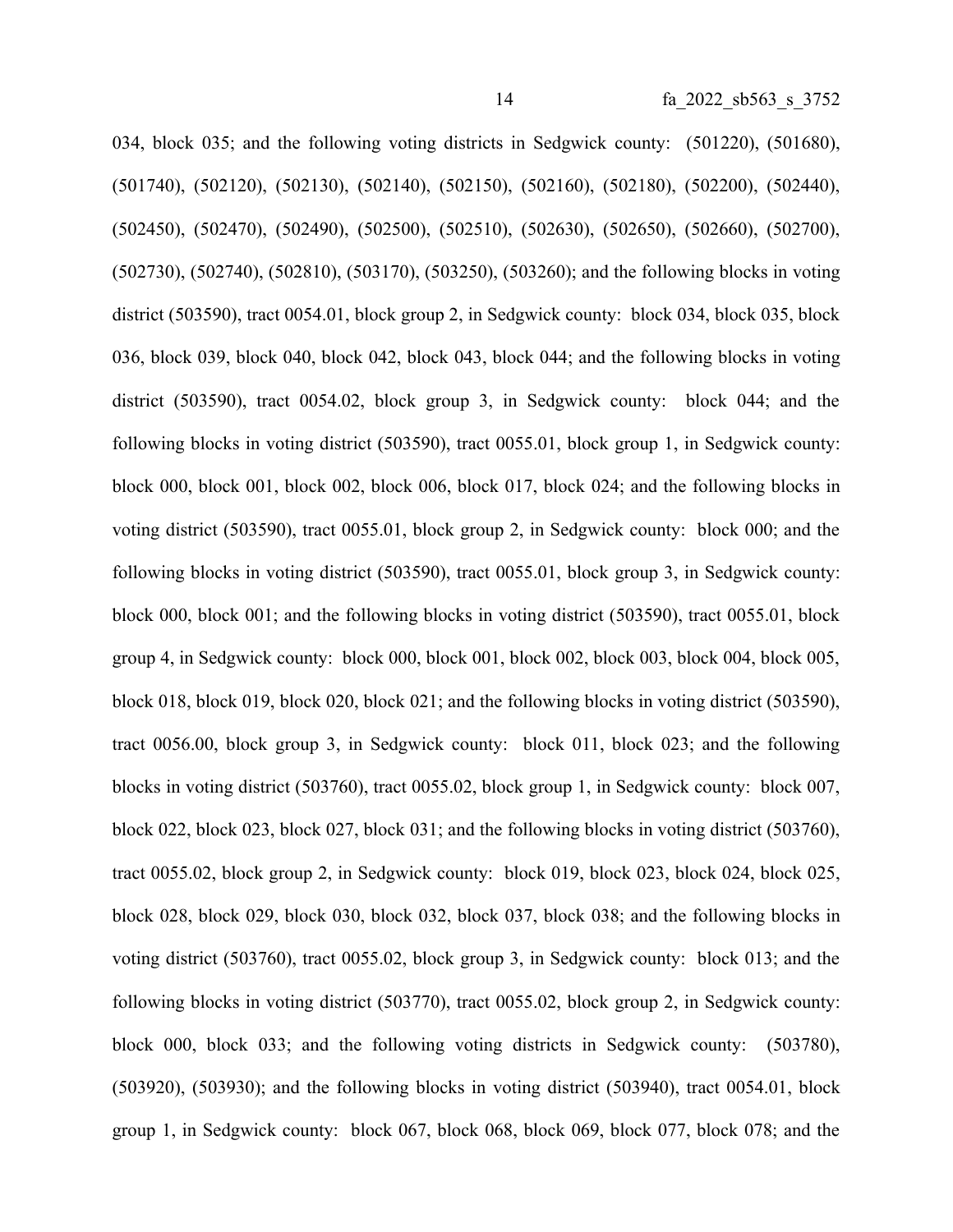034, block 035; and the following voting districts in Sedgwick county: (501220), (501680), (501740), (502120), (502130), (502140), (502150), (502160), (502180), (502200), (502440), (502450), (502470), (502490), (502500), (502510), (502630), (502650), (502660), (502700), (502730), (502740), (502810), (503170), (503250), (503260); and the following blocks in voting district (503590), tract 0054.01, block group 2, in Sedgwick county: block 034, block 035, block 036, block 039, block 040, block 042, block 043, block 044; and the following blocks in voting district (503590), tract 0054.02, block group 3, in Sedgwick county: block 044; and the following blocks in voting district (503590), tract 0055.01, block group 1, in Sedgwick county: block 000, block 001, block 002, block 006, block 017, block 024; and the following blocks in voting district (503590), tract 0055.01, block group 2, in Sedgwick county: block 000; and the following blocks in voting district (503590), tract 0055.01, block group 3, in Sedgwick county: block 000, block 001; and the following blocks in voting district (503590), tract 0055.01, block group 4, in Sedgwick county: block 000, block 001, block 002, block 003, block 004, block 005, block 018, block 019, block 020, block 021; and the following blocks in voting district (503590), tract 0056.00, block group 3, in Sedgwick county: block 011, block 023; and the following blocks in voting district (503760), tract 0055.02, block group 1, in Sedgwick county: block 007, block 022, block 023, block 027, block 031; and the following blocks in voting district (503760), tract 0055.02, block group 2, in Sedgwick county: block 019, block 023, block 024, block 025, block 028, block 029, block 030, block 032, block 037, block 038; and the following blocks in voting district (503760), tract 0055.02, block group 3, in Sedgwick county: block 013; and the following blocks in voting district (503770), tract 0055.02, block group 2, in Sedgwick county: block 000, block 033; and the following voting districts in Sedgwick county: (503780), (503920), (503930); and the following blocks in voting district (503940), tract 0054.01, block group 1, in Sedgwick county: block 067, block 068, block 069, block 077, block 078; and the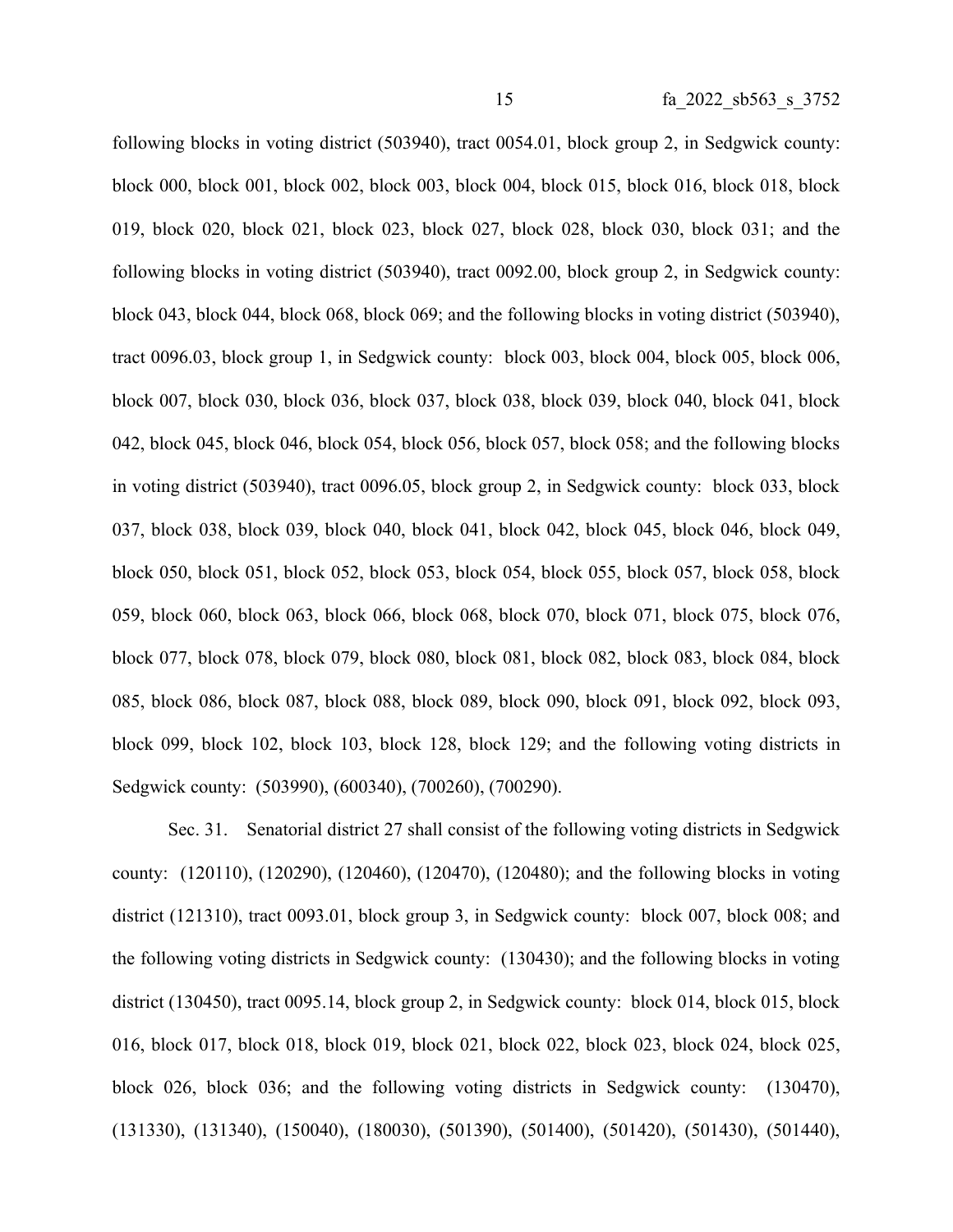following blocks in voting district (503940), tract 0054.01, block group 2, in Sedgwick county: block 000, block 001, block 002, block 003, block 004, block 015, block 016, block 018, block 019, block 020, block 021, block 023, block 027, block 028, block 030, block 031; and the following blocks in voting district (503940), tract 0092.00, block group 2, in Sedgwick county: block 043, block 044, block 068, block 069; and the following blocks in voting district (503940), tract 0096.03, block group 1, in Sedgwick county: block 003, block 004, block 005, block 006, block 007, block 030, block 036, block 037, block 038, block 039, block 040, block 041, block 042, block 045, block 046, block 054, block 056, block 057, block 058; and the following blocks in voting district (503940), tract 0096.05, block group 2, in Sedgwick county: block 033, block 037, block 038, block 039, block 040, block 041, block 042, block 045, block 046, block 049, block 050, block 051, block 052, block 053, block 054, block 055, block 057, block 058, block 059, block 060, block 063, block 066, block 068, block 070, block 071, block 075, block 076, block 077, block 078, block 079, block 080, block 081, block 082, block 083, block 084, block 085, block 086, block 087, block 088, block 089, block 090, block 091, block 092, block 093, block 099, block 102, block 103, block 128, block 129; and the following voting districts in Sedgwick county: (503990), (600340), (700260), (700290).

Sec. 31. Senatorial district 27 shall consist of the following voting districts in Sedgwick county: (120110), (120290), (120460), (120470), (120480); and the following blocks in voting district (121310), tract 0093.01, block group 3, in Sedgwick county: block 007, block 008; and the following voting districts in Sedgwick county: (130430); and the following blocks in voting district (130450), tract 0095.14, block group 2, in Sedgwick county: block 014, block 015, block 016, block 017, block 018, block 019, block 021, block 022, block 023, block 024, block 025, block 026, block 036; and the following voting districts in Sedgwick county: (130470), (131330), (131340), (150040), (180030), (501390), (501400), (501420), (501430), (501440),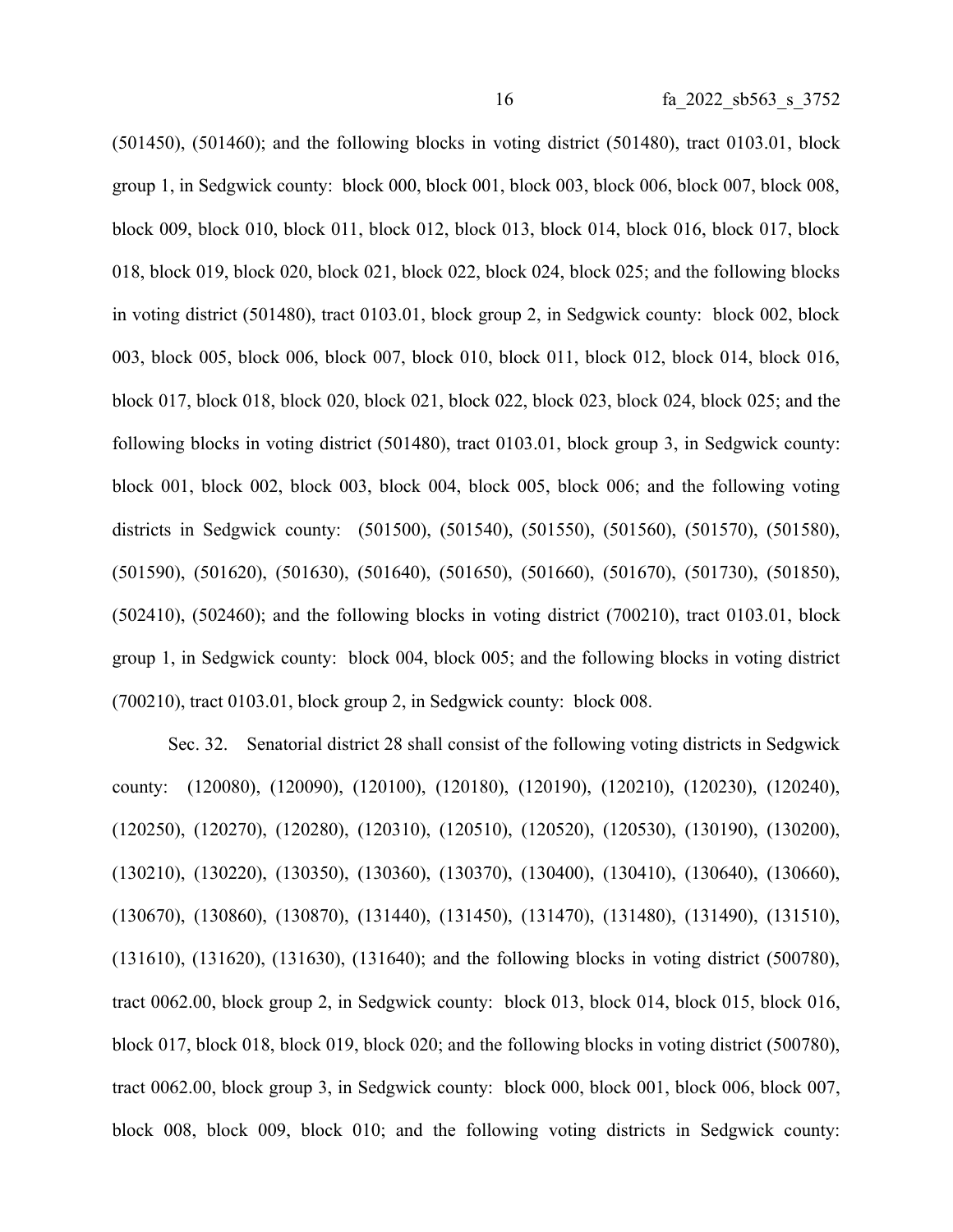$(501450)$ ,  $(501460)$ ; and the following blocks in voting district  $(501480)$ , tract  $(0103.01)$ , block group 1, in Sedgwick county: block 000, block 001, block 003, block 006, block 007, block 008, block 009, block 010, block 011, block 012, block 013, block 014, block 016, block 017, block 018, block 019, block 020, block 021, block 022, block 024, block 025; and the following blocks in voting district (501480), tract 0103.01, block group 2, in Sedgwick county: block 002, block 003, block 005, block 006, block 007, block 010, block 011, block 012, block 014, block 016, block 017, block 018, block 020, block 021, block 022, block 023, block 024, block 025; and the following blocks in voting district (501480), tract 0103.01, block group 3, in Sedgwick county: block 001, block 002, block 003, block 004, block 005, block 006; and the following voting districts in Sedgwick county: (501500), (501540), (501550), (501560), (501570), (501580), (501590), (501620), (501630), (501640), (501650), (501660), (501670), (501730), (501850), (502410), (502460); and the following blocks in voting district (700210), tract 0103.01, block group 1, in Sedgwick county: block 004, block 005; and the following blocks in voting district (700210), tract 0103.01, block group 2, in Sedgwick county: block 008.

Sec. 32. Senatorial district 28 shall consist of the following voting districts in Sedgwick county: (120080), (120090), (120100), (120180), (120190), (120210), (120230), (120240), (120250), (120270), (120280), (120310), (120510), (120520), (120530), (130190), (130200), (130210), (130220), (130350), (130360), (130370), (130400), (130410), (130640), (130660), (130670), (130860), (130870), (131440), (131450), (131470), (131480), (131490), (131510), (131610), (131620), (131630), (131640); and the following blocks in voting district (500780), tract 0062.00, block group 2, in Sedgwick county: block 013, block 014, block 015, block 016, block 017, block 018, block 019, block 020; and the following blocks in voting district (500780), tract 0062.00, block group 3, in Sedgwick county: block 000, block 001, block 006, block 007, block 008, block 009, block 010; and the following voting districts in Sedgwick county: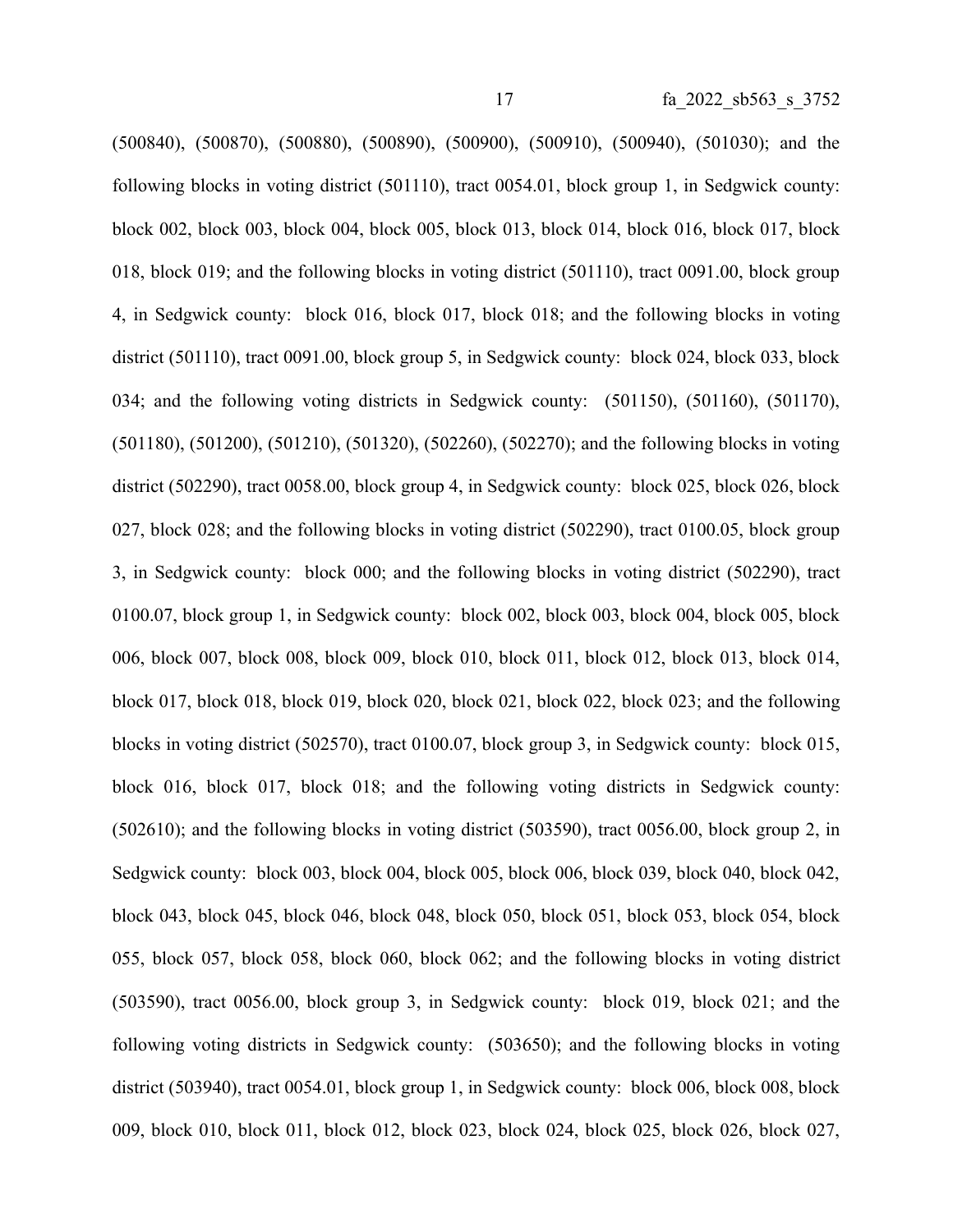(500840), (500870), (500880), (500890), (500900), (500910), (500940), (501030); and the following blocks in voting district (501110), tract 0054.01, block group 1, in Sedgwick county: block 002, block 003, block 004, block 005, block 013, block 014, block 016, block 017, block 018, block 019; and the following blocks in voting district (501110), tract 0091.00, block group 4, in Sedgwick county: block 016, block 017, block 018; and the following blocks in voting district (501110), tract 0091.00, block group 5, in Sedgwick county: block 024, block 033, block 034; and the following voting districts in Sedgwick county: (501150), (501160), (501170), (501180), (501200), (501210), (501320), (502260), (502270); and the following blocks in voting district (502290), tract 0058.00, block group 4, in Sedgwick county: block 025, block 026, block 027, block 028; and the following blocks in voting district (502290), tract 0100.05, block group 3, in Sedgwick county: block 000; and the following blocks in voting district (502290), tract 0100.07, block group 1, in Sedgwick county: block 002, block 003, block 004, block 005, block 006, block 007, block 008, block 009, block 010, block 011, block 012, block 013, block 014, block 017, block 018, block 019, block 020, block 021, block 022, block 023; and the following blocks in voting district (502570), tract 0100.07, block group 3, in Sedgwick county: block 015, block 016, block 017, block 018; and the following voting districts in Sedgwick county: (502610); and the following blocks in voting district (503590), tract 0056.00, block group 2, in Sedgwick county: block 003, block 004, block 005, block 006, block 039, block 040, block 042, block 043, block 045, block 046, block 048, block 050, block 051, block 053, block 054, block 055, block 057, block 058, block 060, block 062; and the following blocks in voting district (503590), tract 0056.00, block group 3, in Sedgwick county: block 019, block 021; and the following voting districts in Sedgwick county: (503650); and the following blocks in voting district (503940), tract 0054.01, block group 1, in Sedgwick county: block 006, block 008, block 009, block 010, block 011, block 012, block 023, block 024, block 025, block 026, block 027,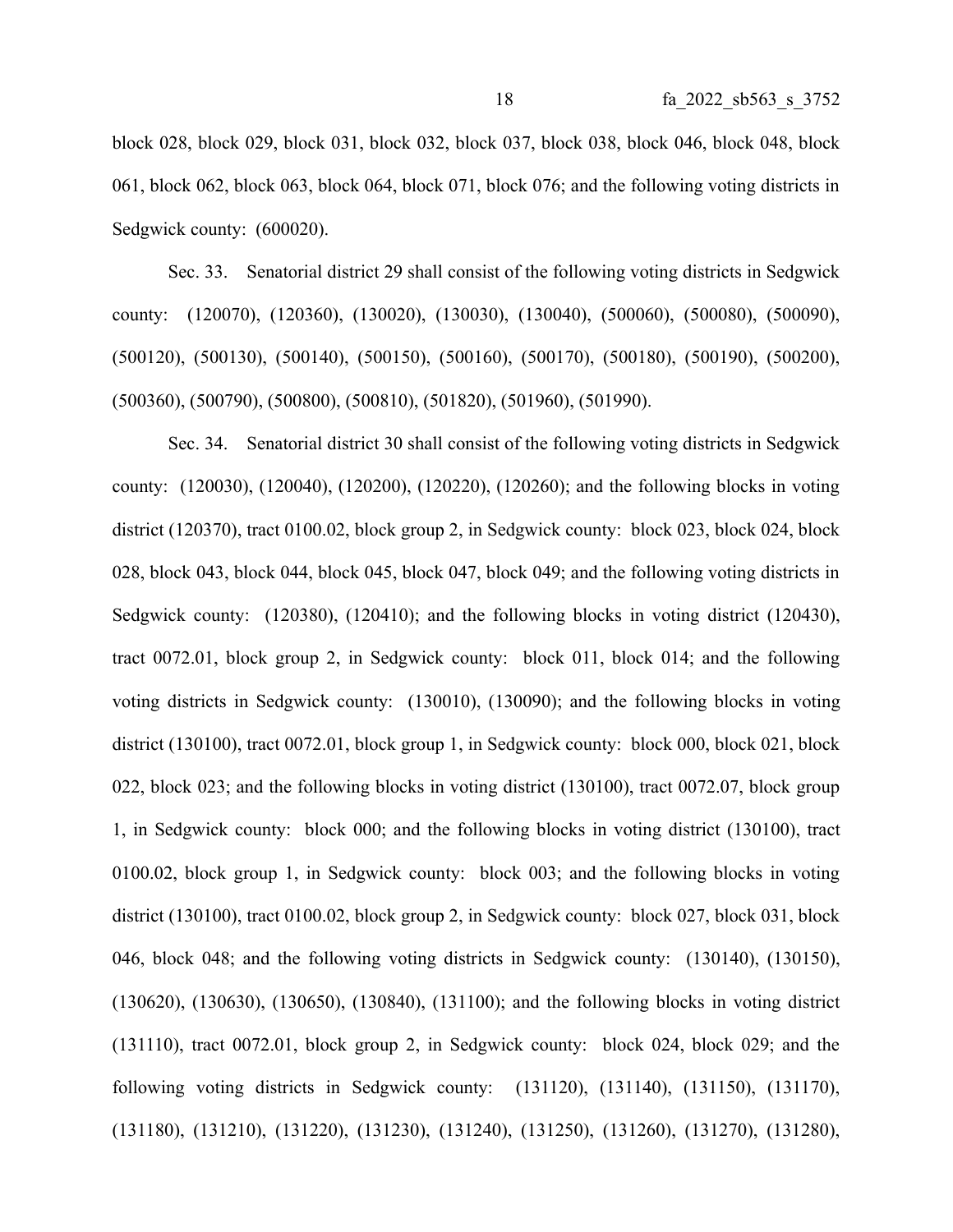block 028, block 029, block 031, block 032, block 037, block 038, block 046, block 048, block 061, block 062, block 063, block 064, block 071, block 076; and the following voting districts in Sedgwick county:  $(600020)$ .

Sec. 33. Senatorial district 29 shall consist of the following voting districts in Sedgwick county: (120070), (120360), (130020), (130030), (130040), (500060), (500080), (500090), (500120), (500130), (500140), (500150), (500160), (500170), (500180), (500190), (500200), (500360), (500790), (500800), (500810), (501820), (501960), (501990).

Sec. 34. Senatorial district 30 shall consist of the following voting districts in Sedgwick county: (120030), (120040), (120200), (120220), (120260); and the following blocks in voting district (120370), tract 0100.02, block group 2, in Sedgwick county: block 023, block 024, block 028, block 043, block 044, block 045, block 047, block 049; and the following voting districts in Sedgwick county: (120380), (120410); and the following blocks in voting district (120430), tract 0072.01, block group 2, in Sedgwick county: block 011, block 014; and the following voting districts in Sedgwick county: (130010), (130090); and the following blocks in voting district (130100), tract 0072.01, block group 1, in Sedgwick county: block 000, block 021, block 022, block 023; and the following blocks in voting district (130100), tract 0072.07, block group 1, in Sedgwick county: block 000; and the following blocks in voting district (130100), tract 0100.02, block group 1, in Sedgwick county: block 003; and the following blocks in voting district (130100), tract 0100.02, block group 2, in Sedgwick county: block 027, block 031, block 046, block 048; and the following voting districts in Sedgwick county: (130140), (130150), (130620), (130630), (130650), (130840), (131100); and the following blocks in voting district (131110), tract 0072.01, block group 2, in Sedgwick county: block 024, block 029; and the following voting districts in Sedgwick county: (131120), (131140), (131150), (131170), (131180), (131210), (131220), (131230), (131240), (131250), (131260), (131270), (131280),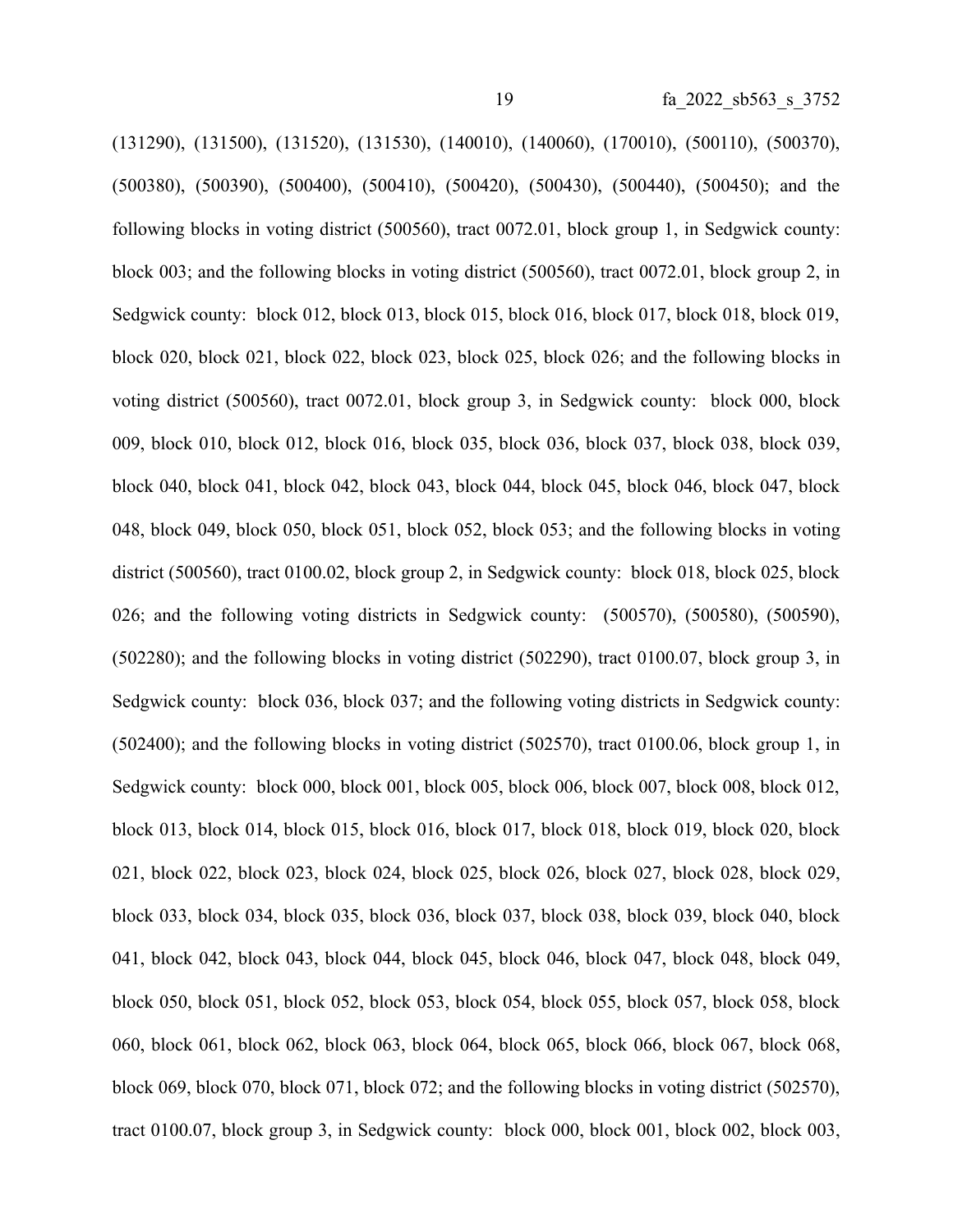(131290), (131500), (131520), (131530), (140010), (140060), (170010), (500110), (500370), (500380), (500390), (500400), (500410), (500420), (500430), (500440), (500450); and the following blocks in voting district (500560), tract 0072.01, block group 1, in Sedgwick county: block 003; and the following blocks in voting district (500560), tract 0072.01, block group 2, in Sedgwick county: block 012, block 013, block 015, block 016, block 017, block 018, block 019, block 020, block 021, block 022, block 023, block 025, block 026; and the following blocks in voting district (500560), tract 0072.01, block group 3, in Sedgwick county: block 000, block 009, block 010, block 012, block 016, block 035, block 036, block 037, block 038, block 039, block 040, block 041, block 042, block 043, block 044, block 045, block 046, block 047, block 048, block 049, block 050, block 051, block 052, block 053; and the following blocks in voting district (500560), tract 0100.02, block group 2, in Sedgwick county: block 018, block 025, block 026; and the following voting districts in Sedgwick county: (500570), (500580), (500590), (502280); and the following blocks in voting district (502290), tract 0100.07, block group 3, in Sedgwick county: block 036, block 037; and the following voting districts in Sedgwick county: (502400); and the following blocks in voting district (502570), tract 0100.06, block group 1, in Sedgwick county: block 000, block 001, block 005, block 006, block 007, block 008, block 012, block 013, block 014, block 015, block 016, block 017, block 018, block 019, block 020, block 021, block 022, block 023, block 024, block 025, block 026, block 027, block 028, block 029, block 033, block 034, block 035, block 036, block 037, block 038, block 039, block 040, block 041, block 042, block 043, block 044, block 045, block 046, block 047, block 048, block 049, block 050, block 051, block 052, block 053, block 054, block 055, block 057, block 058, block 060, block 061, block 062, block 063, block 064, block 065, block 066, block 067, block 068, block 069, block 070, block 071, block 072; and the following blocks in voting district (502570), tract 0100.07, block group 3, in Sedgwick county: block 000, block 001, block 002, block 003,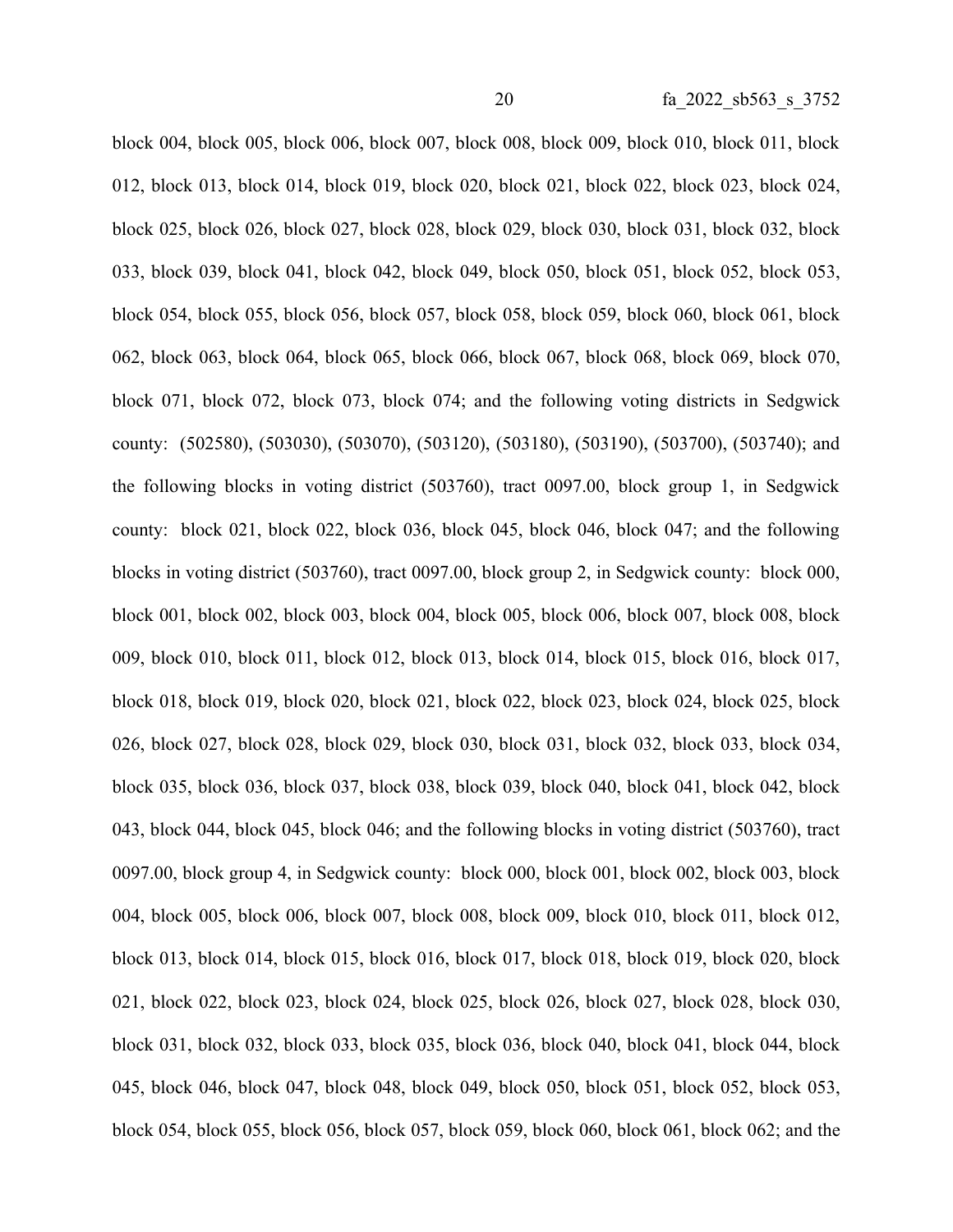block 004, block 005, block 006, block 007, block 008, block 009, block 010, block 011, block 012, block 013, block 014, block 019, block 020, block 021, block 022, block 023, block 024, block 025, block 026, block 027, block 028, block 029, block 030, block 031, block 032, block 033, block 039, block 041, block 042, block 049, block 050, block 051, block 052, block 053, block 054, block 055, block 056, block 057, block 058, block 059, block 060, block 061, block 062, block 063, block 064, block 065, block 066, block 067, block 068, block 069, block 070, block 071, block 072, block 073, block 074; and the following voting districts in Sedgwick county: (502580), (503030), (503070), (503120), (503180), (503190), (503700), (503740); and the following blocks in voting district (503760), tract 0097.00, block group 1, in Sedgwick county: block 021, block 022, block 036, block 045, block 046, block 047; and the following blocks in voting district (503760), tract 0097.00, block group 2, in Sedgwick county: block 000, block 001, block 002, block 003, block 004, block 005, block 006, block 007, block 008, block 009, block 010, block 011, block 012, block 013, block 014, block 015, block 016, block 017, block 018, block 019, block 020, block 021, block 022, block 023, block 024, block 025, block 026, block 027, block 028, block 029, block 030, block 031, block 032, block 033, block 034, block 035, block 036, block 037, block 038, block 039, block 040, block 041, block 042, block 043, block 044, block 045, block 046; and the following blocks in voting district (503760), tract 0097.00, block group 4, in Sedgwick county: block 000, block 001, block 002, block 003, block 004, block 005, block 006, block 007, block 008, block 009, block 010, block 011, block 012, block 013, block 014, block 015, block 016, block 017, block 018, block 019, block 020, block 021, block 022, block 023, block 024, block 025, block 026, block 027, block 028, block 030, block 031, block 032, block 033, block 035, block 036, block 040, block 041, block 044, block 045, block 046, block 047, block 048, block 049, block 050, block 051, block 052, block 053, block 054, block 055, block 056, block 057, block 059, block 060, block 061, block 062; and the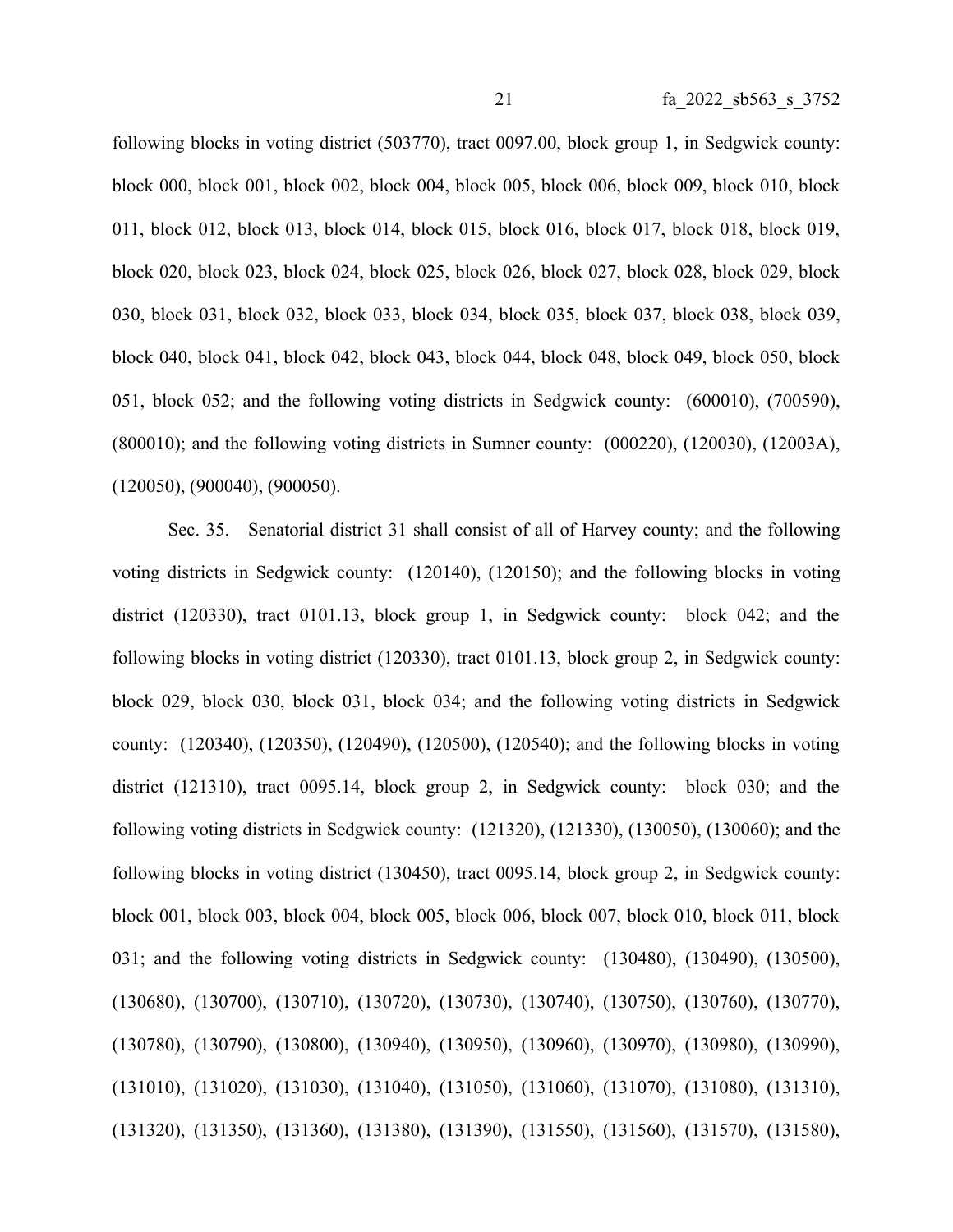following blocks in voting district (503770), tract 0097.00, block group 1, in Sedgwick county: block 000, block 001, block 002, block 004, block 005, block 006, block 009, block 010, block 011, block 012, block 013, block 014, block 015, block 016, block 017, block 018, block 019, block 020, block 023, block 024, block 025, block 026, block 027, block 028, block 029, block 030, block 031, block 032, block 033, block 034, block 035, block 037, block 038, block 039, block 040, block 041, block 042, block 043, block 044, block 048, block 049, block 050, block 051, block 052; and the following voting districts in Sedgwick county: (600010), (700590), (800010); and the following voting districts in Sumner county: (000220), (120030), (12003A), (120050), (900040), (900050).

Sec. 35. Senatorial district 31 shall consist of all of Harvey county; and the following voting districts in Sedgwick county: (120140), (120150); and the following blocks in voting district (120330), tract 0101.13, block group 1, in Sedgwick county: block 042; and the following blocks in voting district (120330), tract 0101.13, block group 2, in Sedgwick county: block 029, block 030, block 031, block 034; and the following voting districts in Sedgwick county: (120340), (120350), (120490), (120500), (120540); and the following blocks in voting district (121310), tract 0095.14, block group 2, in Sedgwick county: block 030; and the following voting districts in Sedgwick county: (121320), (121330), (130050), (130060); and the following blocks in voting district (130450), tract 0095.14, block group 2, in Sedgwick county: block 001, block 003, block 004, block 005, block 006, block 007, block 010, block 011, block 031; and the following voting districts in Sedgwick county: (130480), (130490), (130500), (130680), (130700), (130710), (130720), (130730), (130740), (130750), (130760), (130770), (130780), (130790), (130800), (130940), (130950), (130960), (130970), (130980), (130990), (131010), (131020), (131030), (131040), (131050), (131060), (131070), (131080), (131310), (131320), (131350), (131360), (131380), (131390), (131550), (131560), (131570), (131580),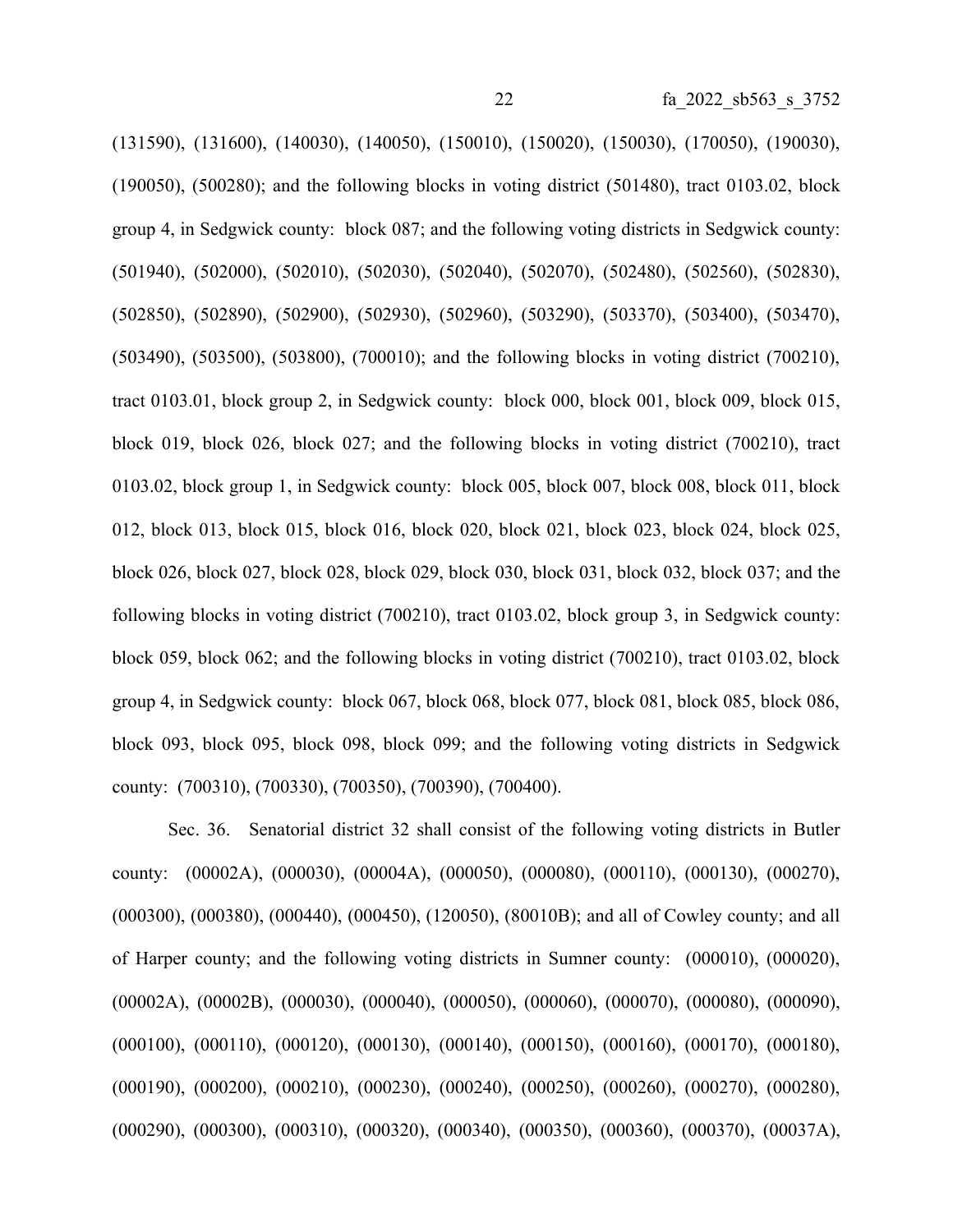(131590), (131600), (140030), (140050), (150010), (150020), (150030), (170050), (190030), (190050), (500280); and the following blocks in voting district (501480), tract 0103.02, block group 4, in Sedgwick county: block 087; and the following voting districts in Sedgwick county: (501940), (502000), (502010), (502030), (502040), (502070), (502480), (502560), (502830), (502850), (502890), (502900), (502930), (502960), (503290), (503370), (503400), (503470), (503490), (503500), (503800), (700010); and the following blocks in voting district (700210), tract 0103.01, block group 2, in Sedgwick county: block 000, block 001, block 009, block 015, block 019, block 026, block 027; and the following blocks in voting district (700210), tract 0103.02, block group 1, in Sedgwick county: block 005, block 007, block 008, block 011, block 012, block 013, block 015, block 016, block 020, block 021, block 023, block 024, block 025, block 026, block 027, block 028, block 029, block 030, block 031, block 032, block 037; and the following blocks in voting district (700210), tract 0103.02, block group 3, in Sedgwick county: block 059, block 062; and the following blocks in voting district (700210), tract 0103.02, block group 4, in Sedgwick county: block 067, block 068, block 077, block 081, block 085, block 086, block 093, block 095, block 098, block 099; and the following voting districts in Sedgwick county: (700310), (700330), (700350), (700390), (700400).

Sec. 36. Senatorial district 32 shall consist of the following voting districts in Butler county: (00002A), (000030), (00004A), (000050), (000080), (000110), (000130), (000270), (000300), (000380), (000440), (000450), (120050), (80010B); and all of Cowley county; and all of Harper county; and the following voting districts in Sumner county: (000010), (000020), (00002A), (00002B), (000030), (000040), (000050), (000060), (000070), (000080), (000090), (000100), (000110), (000120), (000130), (000140), (000150), (000160), (000170), (000180), (000190), (000200), (000210), (000230), (000240), (000250), (000260), (000270), (000280), (000290), (000300), (000310), (000320), (000340), (000350), (000360), (000370), (00037A),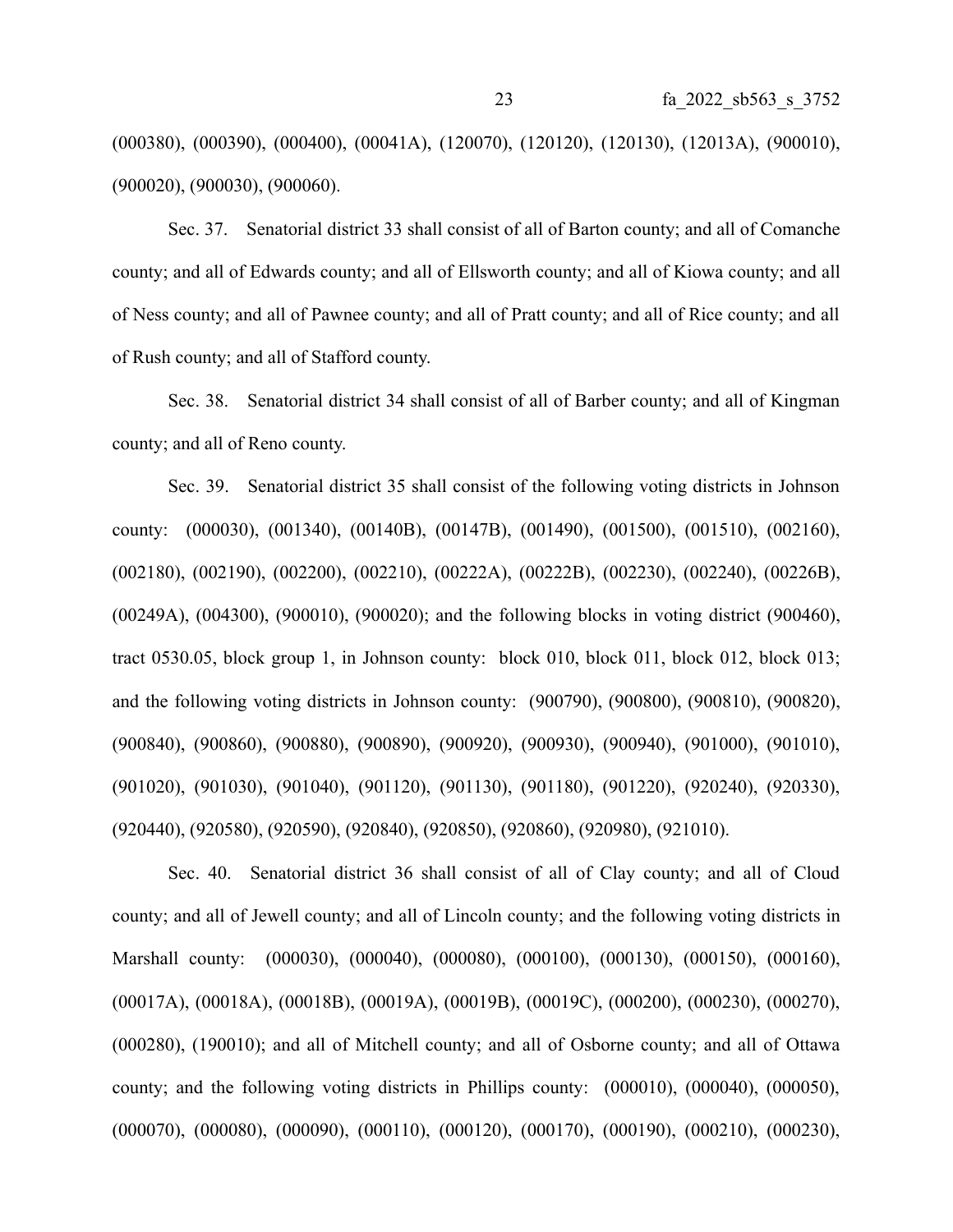(000380), (000390), (000400), (00041A), (120070), (120120), (120130), (12013A), (900010), (900020), (900030), (900060).

Sec. 37. Senatorial district 33 shall consist of all of Barton county; and all of Comanche county; and all of Edwards county; and all of Ellsworth county; and all of Kiowa county; and all of Ness county; and all of Pawnee county; and all of Pratt county; and all of Rice county; and all of Rush county; and all of Stafford county.

Sec. 38. Senatorial district 34 shall consist of all of Barber county; and all of Kingman county; and all of Reno county.

Sec. 39. Senatorial district 35 shall consist of the following voting districts in Johnson county: (000030), (001340), (00140B), (00147B), (001490), (001500), (001510), (002160), (002180), (002190), (002200), (002210), (00222A), (00222B), (002230), (002240), (00226B), (00249A), (004300), (900010), (900020); and the following blocks in voting district (900460), tract 0530.05, block group 1, in Johnson county: block 010, block 011, block 012, block 013; and the following voting districts in Johnson county: (900790), (900800), (900810), (900820), (900840), (900860), (900880), (900890), (900920), (900930), (900940), (901000), (901010), (901020), (901030), (901040), (901120), (901130), (901180), (901220), (920240), (920330), (920440), (920580), (920590), (920840), (920850), (920860), (920980), (921010).

Sec. 40. Senatorial district 36 shall consist of all of Clay county; and all of Cloud county; and all of Jewell county; and all of Lincoln county; and the following voting districts in Marshall county: (000030), (000040), (000080), (000100), (000130), (000150), (000160), (00017A), (00018A), (00018B), (00019A), (00019B), (00019C), (000200), (000230), (000270), (000280), (190010); and all of Mitchell county; and all of Osborne county; and all of Ottawa county; and the following voting districts in Phillips county: (000010), (000040), (000050), (000070), (000080), (000090), (000110), (000120), (000170), (000190), (000210), (000230),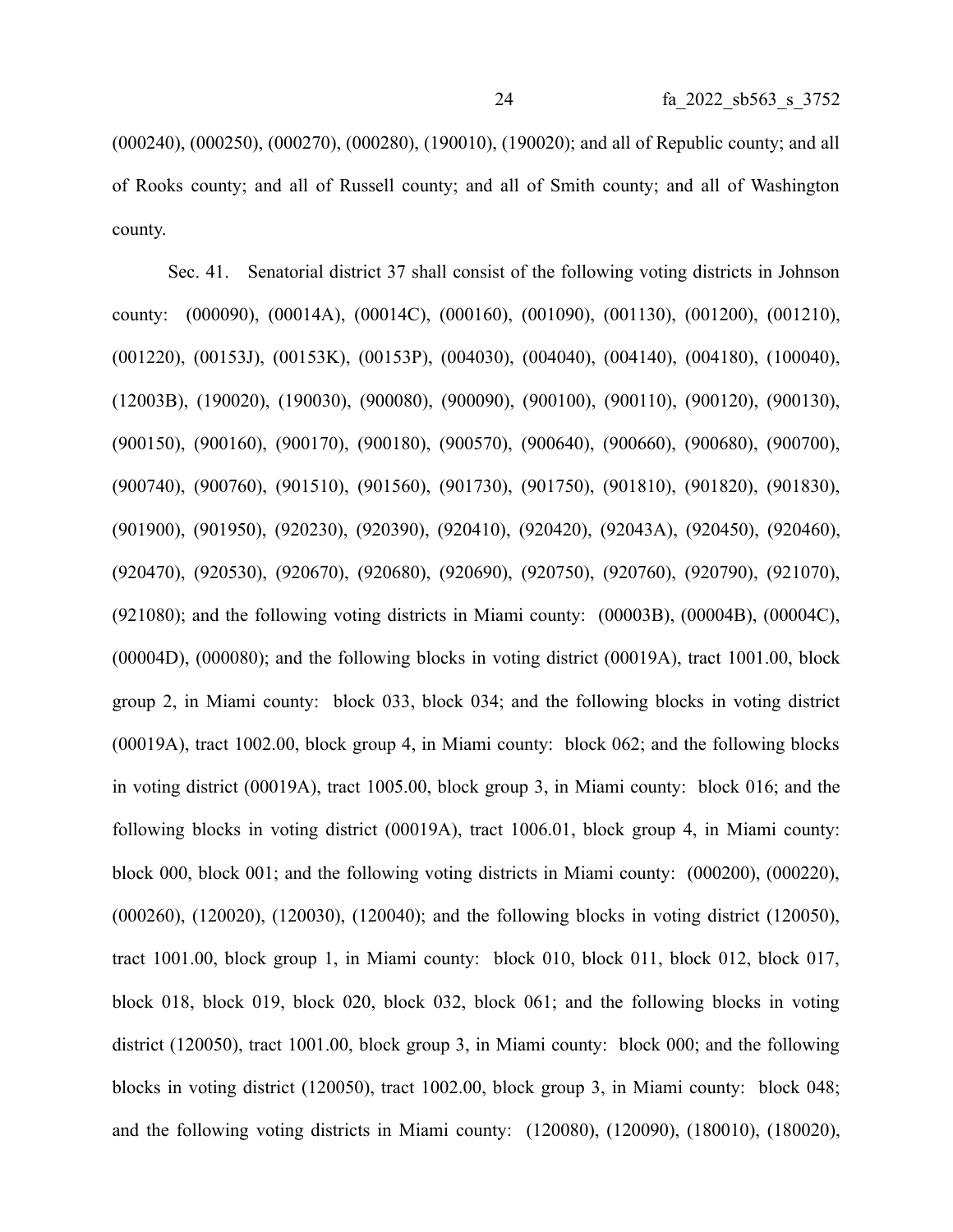(000240), (000250), (000270), (000280), (190010), (190020); and all of Republic county; and all of Rooks county; and all of Russell county; and all of Smith county; and all of Washington county.

Sec. 41. Senatorial district 37 shall consist of the following voting districts in Johnson county: (000090), (00014A), (00014C), (000160), (001090), (001130), (001200), (001210), (001220), (00153J), (00153K), (00153P), (004030), (004040), (004140), (004180), (100040), (12003B), (190020), (190030), (900080), (900090), (900100), (900110), (900120), (900130), (900150), (900160), (900170), (900180), (900570), (900640), (900660), (900680), (900700), (900740), (900760), (901510), (901560), (901730), (901750), (901810), (901820), (901830), (901900), (901950), (920230), (920390), (920410), (920420), (92043A), (920450), (920460), (920470), (920530), (920670), (920680), (920690), (920750), (920760), (920790), (921070), (921080); and the following voting districts in Miami county: (00003B), (00004B), (00004C), (00004D), (000080); and the following blocks in voting district (00019A), tract 1001.00, block group 2, in Miami county: block 033, block 034; and the following blocks in voting district (00019A), tract 1002.00, block group 4, in Miami county: block 062; and the following blocks in voting district (00019A), tract 1005.00, block group 3, in Miami county: block 016; and the following blocks in voting district (00019A), tract 1006.01, block group 4, in Miami county: block 000, block 001; and the following voting districts in Miami county: (000200), (000220), (000260), (120020), (120030), (120040); and the following blocks in voting district (120050), tract 1001.00, block group 1, in Miami county: block 010, block 011, block 012, block 017, block 018, block 019, block 020, block 032, block 061; and the following blocks in voting district (120050), tract 1001.00, block group 3, in Miami county: block 000; and the following blocks in voting district (120050), tract 1002.00, block group 3, in Miami county: block 048; and the following voting districts in Miami county: (120080), (120090), (180010), (180020),